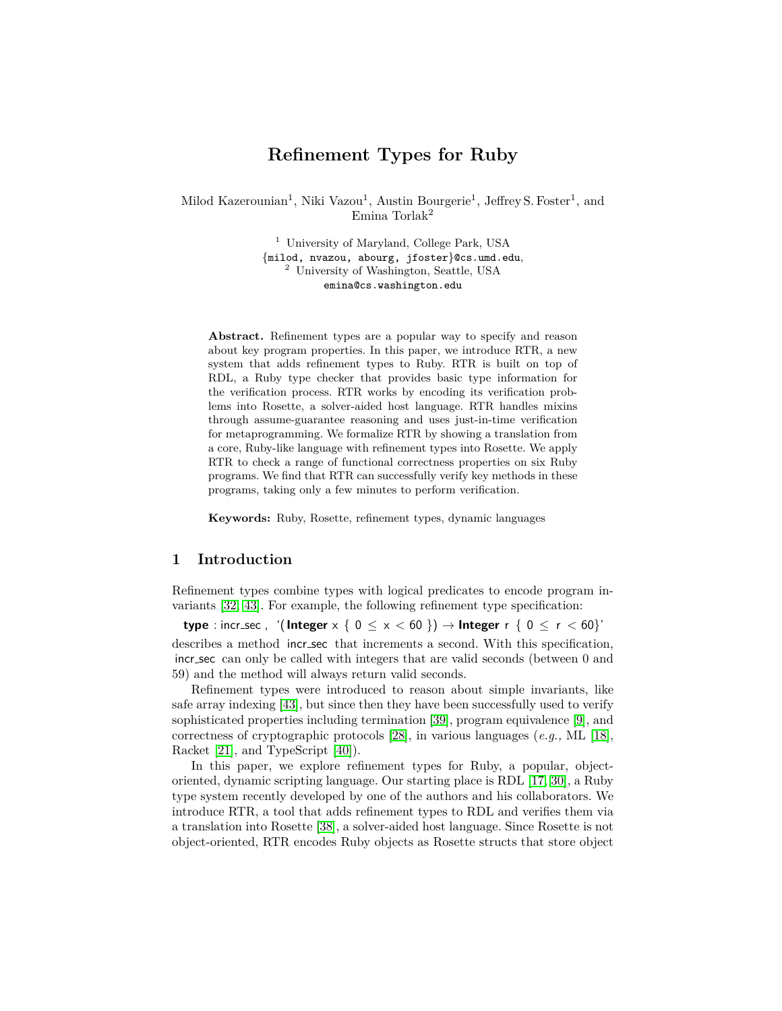# **Refinement Types for Ruby**

Milod Kazerounian<sup>1</sup>, Niki Vazou<sup>1</sup>, Austin Bourgerie<sup>1</sup>, Jeffrey S. Foster<sup>1</sup>, and Emina Torlak<sup>2</sup>

> <sup>1</sup> University of Maryland, College Park, USA {milod, nvazou, abourg, jfoster}@cs.umd.edu, <sup>2</sup> University of Washington, Seattle, USA emina@cs.washington.edu

**Abstract.** Refinement types are a popular way to specify and reason about key program properties. In this paper, we introduce RTR, a new system that adds refinement types to Ruby. RTR is built on top of RDL, a Ruby type checker that provides basic type information for the verification process. RTR works by encoding its verification problems into Rosette, a solver-aided host language. RTR handles mixins through assume-guarantee reasoning and uses just-in-time verification for metaprogramming. We formalize RTR by showing a translation from a core, Ruby-like language with refinement types into Rosette. We apply RTR to check a range of functional correctness properties on six Ruby programs. We find that RTR can successfully verify key methods in these programs, taking only a few minutes to perform verification.

**Keywords:** Ruby, Rosette, refinement types, dynamic languages

### **1 Introduction**

Refinement types combine types with logical predicates to encode program invariants [\[32,](#page-21-0) [43\]](#page-21-1). For example, the following refinement type specification:

**type** : incr\_sec, '(**Integer**  $x \{ 0 \le x < 60 \}$ )  $\rightarrow$  **Integer**  $r \{ 0 \le r < 60 \}$ '

describes a method increased that increments a second. With this specification, incr sec can only be called with integers that are valid seconds (between 0 and 59) and the method will always return valid seconds.

Refinement types were introduced to reason about simple invariants, like safe array indexing [\[43\]](#page-21-1), but since then they have been successfully used to verify sophisticated properties including termination [\[39\]](#page-21-2), program equivalence [\[9\]](#page-20-0), and correctness of cryptographic protocols [\[28\]](#page-21-3), in various languages (*e.g.,* ML [\[18\]](#page-20-1), Racket [\[21\]](#page-20-2), and TypeScript [\[40\]](#page-21-4)).

In this paper, we explore refinement types for Ruby, a popular, objectoriented, dynamic scripting language. Our starting place is RDL [\[17,](#page-20-3) [30\]](#page-21-5), a Ruby type system recently developed by one of the authors and his collaborators. We introduce RTR, a tool that adds refinement types to RDL and verifies them via a translation into Rosette [\[38\]](#page-21-6), a solver-aided host language. Since Rosette is not object-oriented, RTR encodes Ruby objects as Rosette structs that store object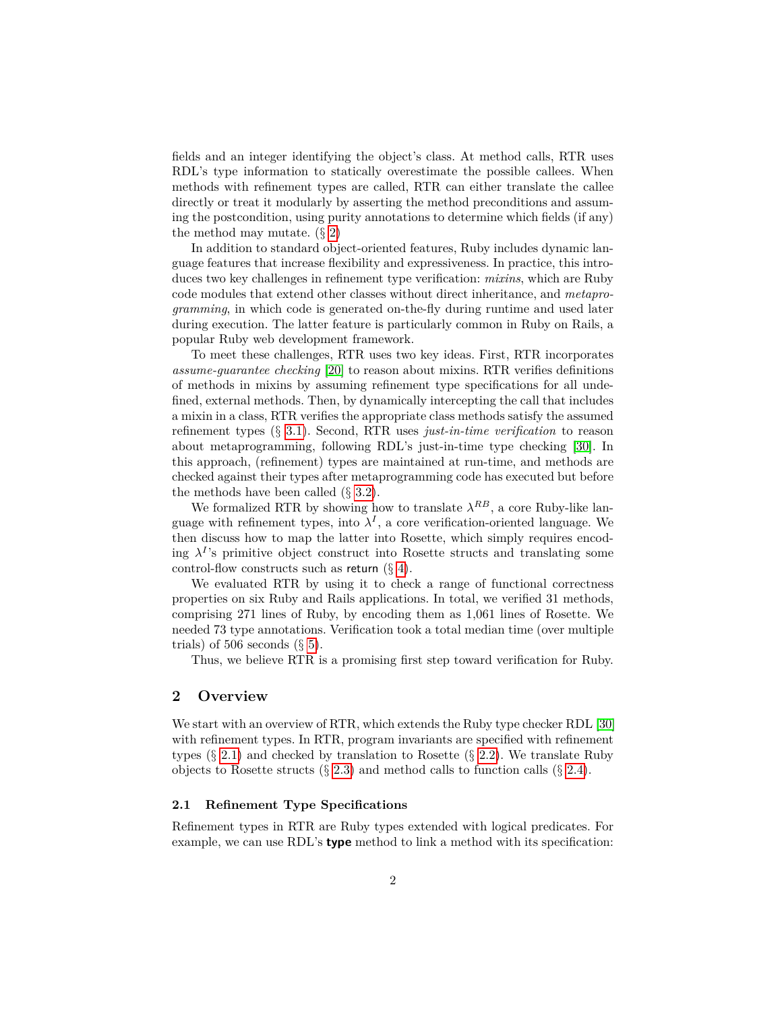fields and an integer identifying the object's class. At method calls, RTR uses RDL's type information to statically overestimate the possible callees. When methods with refinement types are called, RTR can either translate the callee directly or treat it modularly by asserting the method preconditions and assuming the postcondition, using purity annotations to determine which fields (if any) the method may mutate.  $(\S 2)$  $(\S 2)$ 

In addition to standard object-oriented features, Ruby includes dynamic language features that increase flexibility and expressiveness. In practice, this introduces two key challenges in refinement type verification: *mixins*, which are Ruby code modules that extend other classes without direct inheritance, and *metaprogramming*, in which code is generated on-the-fly during runtime and used later during execution. The latter feature is particularly common in Ruby on Rails, a popular Ruby web development framework.

To meet these challenges, RTR uses two key ideas. First, RTR incorporates *assume-guarantee checking* [\[20\]](#page-20-4) to reason about mixins. RTR verifies definitions of methods in mixins by assuming refinement type specifications for all undefined, external methods. Then, by dynamically intercepting the call that includes a mixin in a class, RTR verifies the appropriate class methods satisfy the assumed refinement types (§ [3.1\)](#page-5-0). Second, RTR uses *just-in-time verification* to reason about metaprogramming, following RDL's just-in-time type checking [\[30\]](#page-21-5). In this approach, (refinement) types are maintained at run-time, and methods are checked against their types after metaprogramming code has executed but before the methods have been called  $(\S 3.2)$  $(\S 3.2)$ .

We formalized RTR by showing how to translate  $\lambda^{RB}$ , a core Ruby-like language with refinement types, into  $\lambda^I$ , a core verification-oriented language. We then discuss how to map the latter into Rosette, which simply requires encoding  $\lambda^{I}$ 's primitive object construct into Rosette structs and translating some control-flow constructs such as return  $(\S 4)$  $(\S 4)$ .

We evaluated RTR by using it to check a range of functional correctness properties on six Ruby and Rails applications. In total, we verified 31 methods, comprising 271 lines of Ruby, by encoding them as 1,061 lines of Rosette. We needed 73 type annotations. Verification took a total median time (over multiple trials) of 506 seconds  $(\S 5)$  $(\S 5)$ .

Thus, we believe RTR is a promising first step toward verification for Ruby.

## <span id="page-1-0"></span>**2 Overview**

We start with an overview of RTR, which extends the Ruby type checker RDL [\[30\]](#page-21-5) with refinement types. In RTR, program invariants are specified with refinement types  $(\S 2.1)$  $(\S 2.1)$  and checked by translation to Rosette  $(\S 2.2)$  $(\S 2.2)$ . We translate Ruby objects to Rosette structs  $(\S 2.3)$  $(\S 2.3)$  and method calls to function calls  $(\S 2.4)$  $(\S 2.4)$ .

#### <span id="page-1-1"></span>**2.1 Refinement Type Specifications**

Refinement types in RTR are Ruby types extended with logical predicates. For example, we can use RDL's **type** method to link a method with its specification: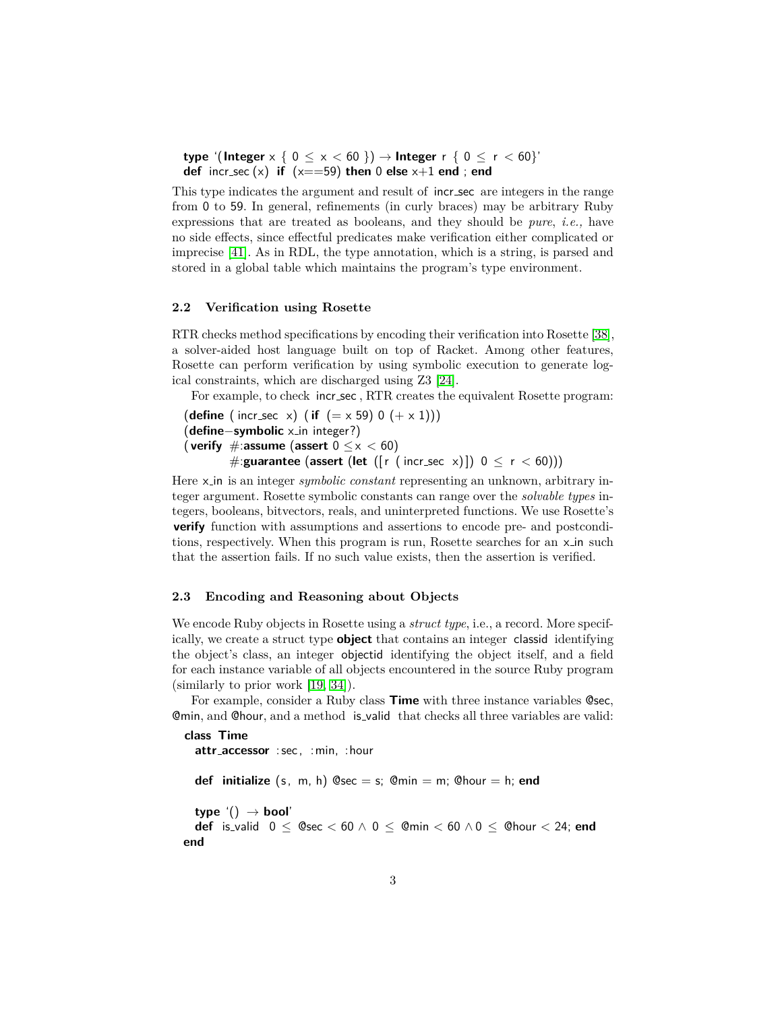**type** '(**Integer**  $x \{ 0 \le x < 60 \}$ )  $\rightarrow$  **Integer**  $r \{ 0 \le r < 60 \}$ ' **def** incr\_sec  $(x)$  **if**  $(x == 59)$  **then** 0 **else**  $x+1$  **end**; **end** 

This type indicates the argument and result of incr-sec are integers in the range from 0 to 59. In general, refinements (in curly braces) may be arbitrary Ruby expressions that are treated as booleans, and they should be *pure*, *i.e.,* have no side effects, since effectful predicates make verification either complicated or imprecise [\[41\]](#page-21-7). As in RDL, the type annotation, which is a string, is parsed and stored in a global table which maintains the program's type environment.

#### <span id="page-2-0"></span>**2.2 Verification using Rosette**

RTR checks method specifications by encoding their verification into Rosette [\[38\]](#page-21-6), a solver-aided host language built on top of Racket. Among other features, Rosette can perform verification by using symbolic execution to generate logical constraints, which are discharged using Z3 [\[24\]](#page-20-5).

For example, to check incr sec, RTR creates the equivalent Rosette program:

(**define** (**incr\_sec** x) (**if**  $(= x 59) 0 (+ x 1))$ ) (**define**−**symbolic** x in integer?) ( **verify**  $\#$ : assume (assert  $0 \le x < 60$ ) #: guarantee (assert (let ( $[r \text{ (} \text{incr\_sec} \text{ x})]$ )  $0 \le r < 60)$ ))

Here x<sub>in</sub> is an integer *symbolic constant* representing an unknown, arbitrary integer argument. Rosette symbolic constants can range over the *solvable types* integers, booleans, bitvectors, reals, and uninterpreted functions. We use Rosette's **verify** function with assumptions and assertions to encode pre- and postconditions, respectively. When this program is run, Rosette searches for an  $x$  in such that the assertion fails. If no such value exists, then the assertion is verified.

#### <span id="page-2-1"></span>**2.3 Encoding and Reasoning about Objects**

We encode Ruby objects in Rosette using a *struct type*, i.e., a record. More specifically, we create a struct type **object** that contains an integer classid identifying the object's class, an integer objectid identifying the object itself, and a field for each instance variable of all objects encountered in the source Ruby program (similarly to prior work [\[19,](#page-20-6) [34\]](#page-21-8)).

For example, consider a Ruby class **Time** with three instance variables @sec, @min, and @hour, and a method is valid that checks all three variables are valid:

```
class Time
  attr accessor : sec, :min, :hour
  def initialize (s, m, h) \mathbb{Q}sec = s; \mathbb{Q}min = m; \mathbb{Q}hour = h; end
  type'( ) \rightarrow bool'def is_valid 0 \leq @sec < 60 \land 0 \leq @min < 60 \land 0 \leq @hour < 24; end
end
```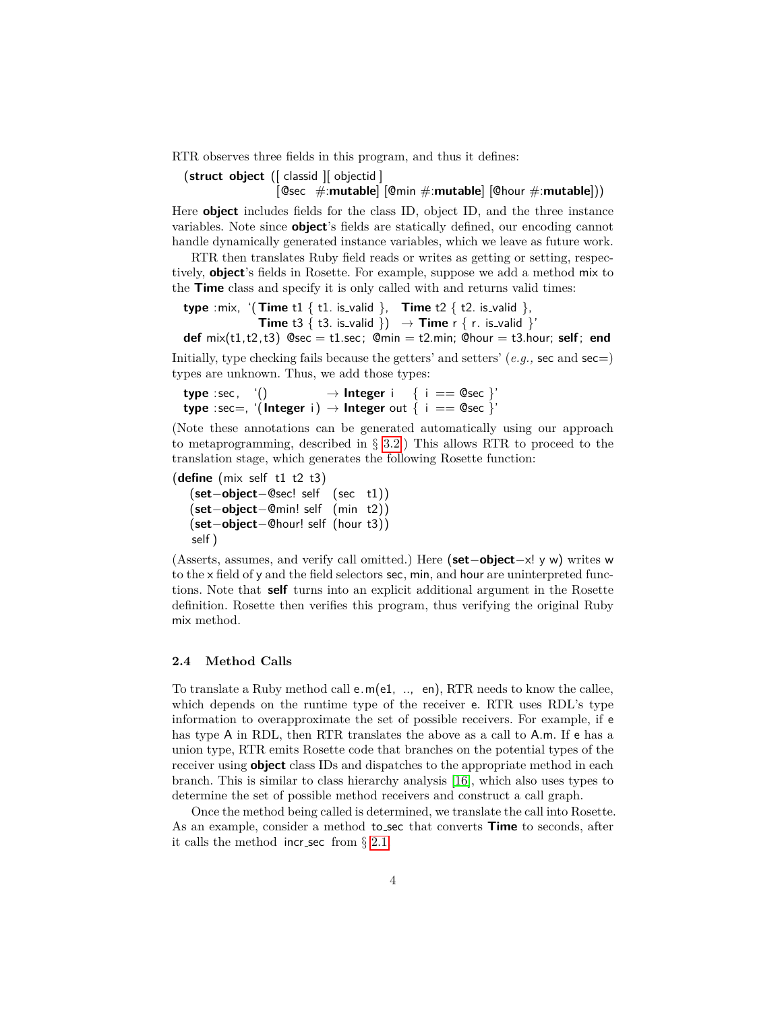RTR observes three fields in this program, and thus it defines:

```
(struct object ([ classid ][ objectid ]
```
[@sec #:**mutable**] [@min #:**mutable**] [@hour #:**mutable**]))

Here **object** includes fields for the class ID, object ID, and the three instance variables. Note since **object**'s fields are statically defined, our encoding cannot handle dynamically generated instance variables, which we leave as future work.

RTR then translates Ruby field reads or writes as getting or setting, respectively, **object**'s fields in Rosette. For example, suppose we add a method mix to the **Time** class and specify it is only called with and returns valid times:

```
type :mix, '(Time t1 { t1. is valid }, Time t2 { t2. is valid },
                 Time t3 \{ t3. is valid \}) \rightarrow Time r \{ r \in S \} r. is valid \}
```
**def**  $mix(t1, t2, t3)$   $Qsec = t1 sec$ ;  $Qmin = t2.min$ ;  $Qhour = t3-hour$ ;  $self$ ; **end** 

Initially, type checking fails because the getters' and setters' (*e.g.*, sec and sec=) types are unknown. Thus, we add those types:

**type** :sec, '()  $\rightarrow$  **Integer** i { i == @sec }' **type** :sec=, '(**Integer** i)  $\rightarrow$  **Integer** out { i == @sec }'

(Note these annotations can be generated automatically using our approach to metaprogramming, described in  $\S$  [3.2.](#page-5-1)) This allows RTR to proceed to the translation stage, which generates the following Rosette function:

(**define** (mix self t1 t2 t3)

```
(set−object−@sec! self (sec t1))
(set−object−@min! self (min t2))
(set−object−@hour! self (hour t3))
self )
```
(Asserts, assumes, and verify call omitted.) Here (**set**−**object**−x! y w) writes w to the x field of y and the field selectors sec, min, and hour are uninterpreted functions. Note that **self** turns into an explicit additional argument in the Rosette definition. Rosette then verifies this program, thus verifying the original Ruby mix method.

#### <span id="page-3-0"></span>**2.4 Method Calls**

To translate a Ruby method call e.m(e1, .., en), RTR needs to know the callee, which depends on the runtime type of the receiver e. RTR uses RDL's type information to overapproximate the set of possible receivers. For example, if e has type A in RDL, then RTR translates the above as a call to A.m. If e has a union type, RTR emits Rosette code that branches on the potential types of the receiver using **object** class IDs and dispatches to the appropriate method in each branch. This is similar to class hierarchy analysis [\[16\]](#page-20-7), which also uses types to determine the set of possible method receivers and construct a call graph.

Once the method being called is determined, we translate the call into Rosette. As an example, consider a method to sec that converts **Time** to seconds, after it calls the method incr sec from § [2.1.](#page-1-1)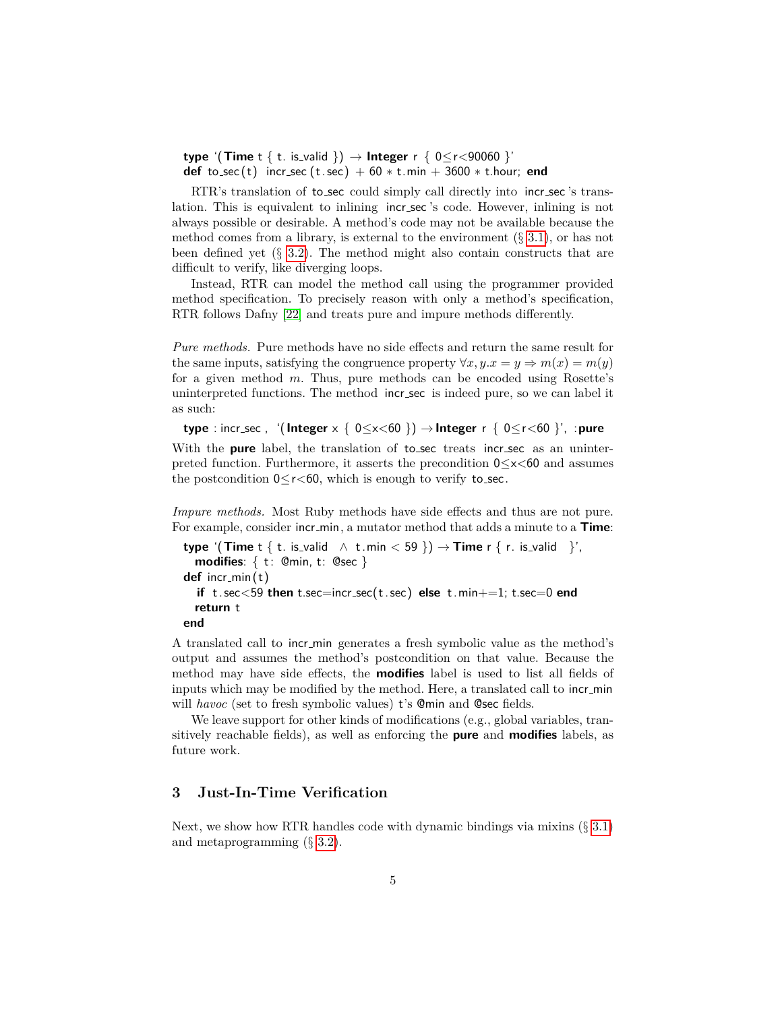**type** '(**Time**  $t \{ t.$  is valid  $\}) \rightarrow$  **Integer**  $r \{ 0 \leq r < 90060 \}$ ' **def** to\_sec(t) incr\_sec(t.sec) +  $60 * t$ .min +  $3600 * t$ .hour; **end** 

RTR's translation of to sec could simply call directly into incr sec 's translation. This is equivalent to inlining incr sec 's code. However, inlining is not always possible or desirable. A method's code may not be available because the method comes from a library, is external to the environment  $(\S 3.1)$  $(\S 3.1)$ , or has not been defined yet  $(\S$  [3.2\)](#page-5-1). The method might also contain constructs that are difficult to verify, like diverging loops.

Instead, RTR can model the method call using the programmer provided method specification. To precisely reason with only a method's specification, RTR follows Dafny [\[22\]](#page-20-8) and treats pure and impure methods differently.

*Pure methods.* Pure methods have no side effects and return the same result for the same inputs, satisfying the congruence property  $\forall x, y \ldots x = y \Rightarrow m(x) = m(y)$ for a given method *m*. Thus, pure methods can be encoded using Rosette's uninterpreted functions. The method incr sec is indeed pure, so we can label it as such:

```
type : incr sec , '(Integer x { 0≤x<60 }) →Integer r { 0≤r<60 }', :pure
```
With the **pure** label, the translation of to sec treats incr sec as an uninterpreted function. Furthermore, it asserts the precondition 0≤x<60 and assumes the postcondition  $0 \le r < 60$ , which is enough to verify to sec.

*Impure methods.* Most Ruby methods have side effects and thus are not pure. For example, consider incr\_min, a mutator method that adds a minute to a **Time**:

```
type '(Time t \{ t. is valid \wedge t. min \langle 59 \}) \rightarrow Time r \{ r. is valid \}',
  modifies: { t: @min, t: @sec }
def incr_min(t)if t. sec<59 then t.sec=incr sec(t. sec) else t.min+=1; t.sec=0 end
  return t
end
```
A translated call to incr min generates a fresh symbolic value as the method's output and assumes the method's postcondition on that value. Because the method may have side effects, the **modifies** label is used to list all fields of inputs which may be modified by the method. Here, a translated call to incremin will *havoc* (set to fresh symbolic values) t's @min and @sec fields.

We leave support for other kinds of modifications (e.g., global variables, transitively reachable fields), as well as enforcing the **pure** and **modifies** labels, as future work.

# **3 Just-In-Time Verification**

Next, we show how RTR handles code with dynamic bindings via mixins  $(\S 3.1)$  $(\S 3.1)$ and metaprogramming  $(\S 3.2)$  $(\S 3.2)$ .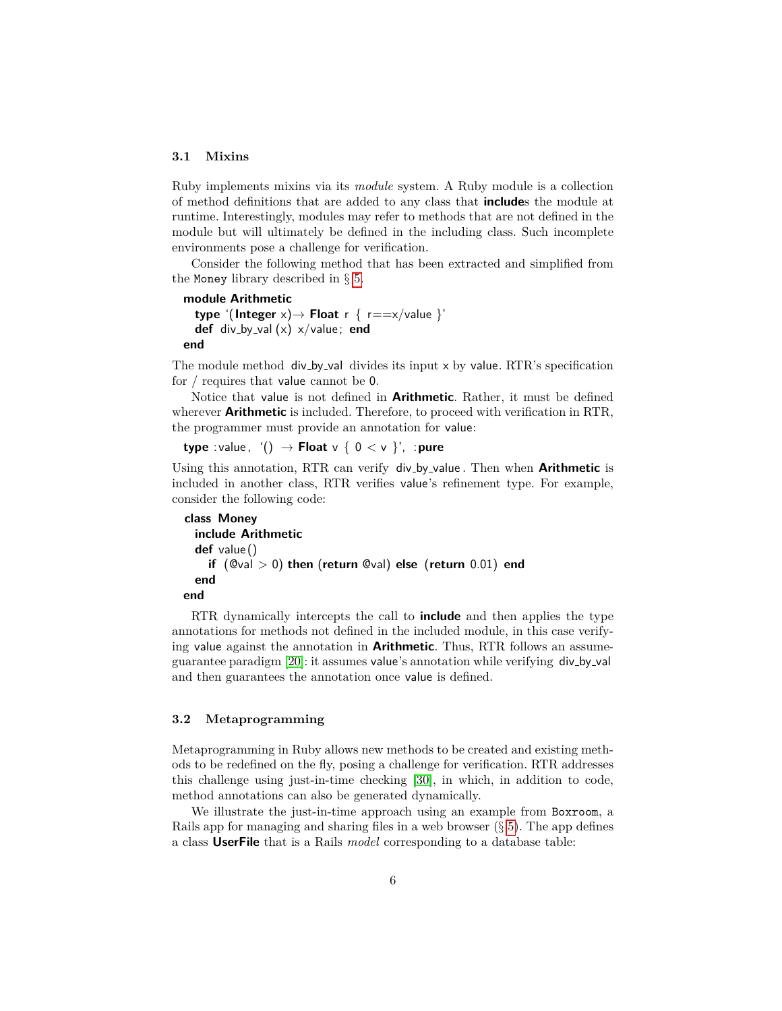#### <span id="page-5-0"></span>**3.1 Mixins**

Ruby implements mixins via its *module* system. A Ruby module is a collection of method definitions that are added to any class that **include**s the module at runtime. Interestingly, modules may refer to methods that are not defined in the module but will ultimately be defined in the including class. Such incomplete environments pose a challenge for verification.

Consider the following method that has been extracted and simplified from the Money library described in § [5.](#page-13-0)

```
module Arithmetic
 type '(Integer x)→ Float r { r==x/value }'
  def div_by_val (x) x/value; end
end
```
The module method div\_by\_val divides its input x by value. RTR's specification for / requires that value cannot be 0.

Notice that value is not defined in **Arithmetic**. Rather, it must be defined wherever **Arithmetic** is included. Therefore, to proceed with verification in RTR, the programmer must provide an annotation for value:

**type** :value, '()  $\rightarrow$  **Float** v { 0 < v }', :**pure** 

Using this annotation, RTR can verify div by value . Then when **Arithmetic** is included in another class, RTR verifies value's refinement type. For example, consider the following code:

```
class Money
  include Arithmetic
  def value ()
    if (@val > 0) then (return @val) else (return 0.01) end
  end
end
```
RTR dynamically intercepts the call to **include** and then applies the type annotations for methods not defined in the included module, in this case verifying value against the annotation in **Arithmetic**. Thus, RTR follows an assumeguarantee paradigm [\[20\]](#page-20-4): it assumes value's annotation while verifying div by val and then guarantees the annotation once value is defined.

#### <span id="page-5-1"></span>**3.2 Metaprogramming**

Metaprogramming in Ruby allows new methods to be created and existing methods to be redefined on the fly, posing a challenge for verification. RTR addresses this challenge using just-in-time checking [\[30\]](#page-21-5), in which, in addition to code, method annotations can also be generated dynamically.

We illustrate the just-in-time approach using an example from Boxroom, a Rails app for managing and sharing files in a web browser  $(\S 5)$  $(\S 5)$ . The app defines a class **UserFile** that is a Rails *model* corresponding to a database table: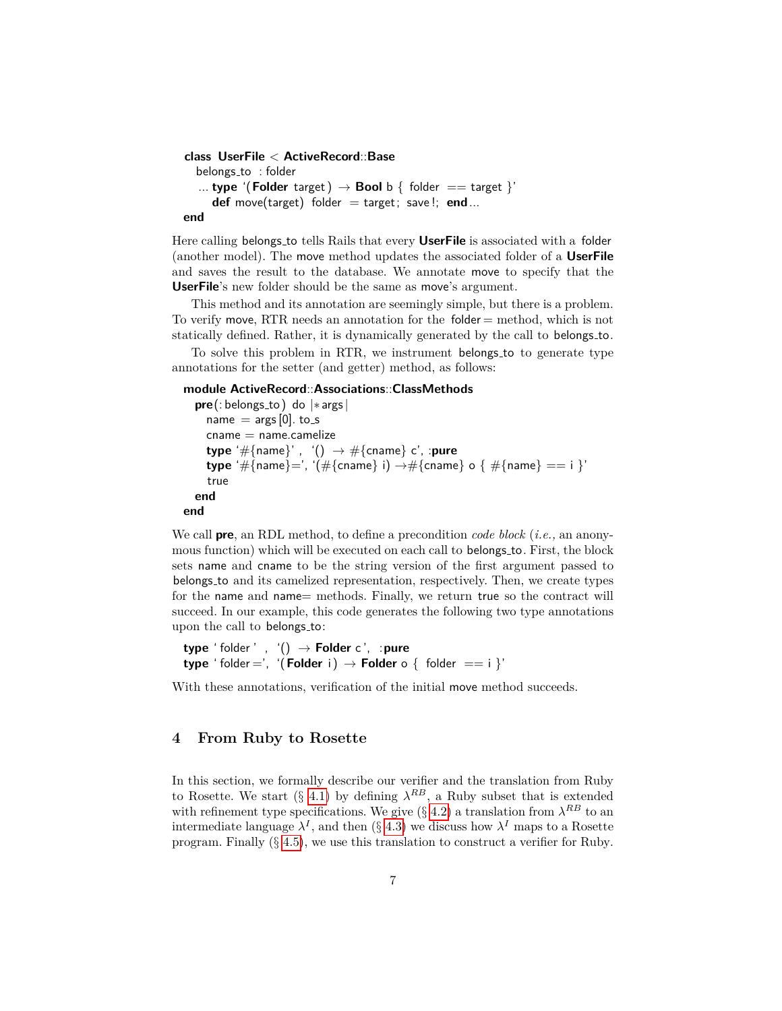```
class UserFile < ActiveRecord::Base
  belongs_to: folder
   ... type '(Folder target) \rightarrow Bool b { folder == target }'
     def move(target) folder = target; save!; end...
end
```
Here calling belongs to tells Rails that every **UserFile** is associated with a folder (another model). The move method updates the associated folder of a **UserFile** and saves the result to the database. We annotate move to specify that the **UserFile**'s new folder should be the same as move's argument.

This method and its annotation are seemingly simple, but there is a problem. To verify move, RTR needs an annotation for the folder = method, which is not statically defined. Rather, it is dynamically generated by the call to belongs to.

To solve this problem in RTR, we instrument belongs to to generate type annotations for the setter (and getter) method, as follows:

#### **module ActiveRecord**::**Associations**::**ClassMethods**

```
pre(: belongs_to) do |∗args|
    name = args [0]. to scname = name.camelize
    type '#{name}' , '() → #{cname} c', :pure
    type '#{name}=', '(#{cname} i) →#{cname} o { #{name} == i }'
    true
 end
end
```
We call **pre**, an RDL method, to define a precondition *code block* (*i.e.,* an anonymous function) which will be executed on each call to belongs to. First, the block sets name and cname to be the string version of the first argument passed to belongs to and its camelized representation, respectively. Then, we create types for the name and name= methods. Finally, we return true so the contract will succeed. In our example, this code generates the following two type annotations upon the call to belongs\_to:

```
type ' folder ' , '() → Folder c ', :pure
type ' folder =', '(Folder i) \rightarrow Folder o { folder == i }'
```
With these annotations, verification of the initial move method succeeds.

## <span id="page-6-0"></span>**4 From Ruby to Rosette**

In this section, we formally describe our verifier and the translation from Ruby to Rosette. We start (§ [4.1\)](#page-7-0) by defining  $\lambda^{RB}$ , a Ruby subset that is extended with refinement type specifications. We give  $(\S 4.2)$  $(\S 4.2)$  a translation from  $\lambda^{RB}$  to an intermediate language  $\lambda^I$ , and then (§ [4.3\)](#page-11-0) we discuss how  $\lambda^I$  maps to a Rosette program. Finally (§ [4.5\)](#page-12-0), we use this translation to construct a verifier for Ruby.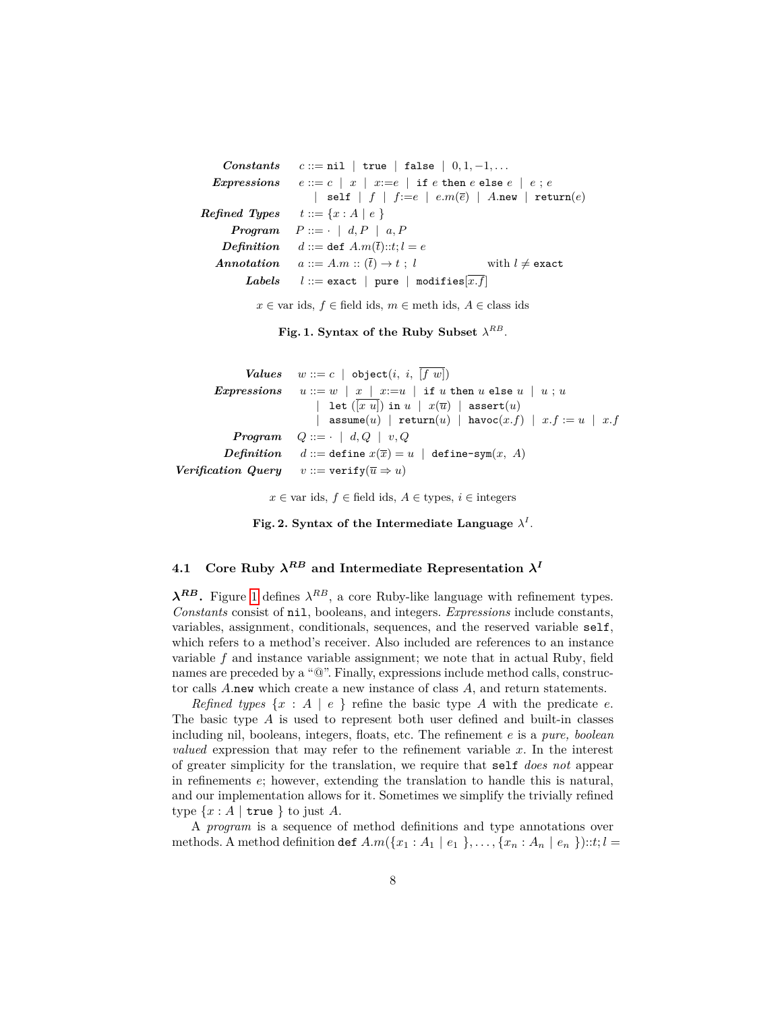| Constants | c ::= nil   true   false   $0, 1, -1, $                                           |  |  |  |  |  |
|-----------|-----------------------------------------------------------------------------------|--|--|--|--|--|
|           | <i>Expressions</i> $e ::= c   x   x := e$ if e then e else e   e; e               |  |  |  |  |  |
|           | self   $f$   $f:=e$   $e.m(\overline{e})$   $A.new$   return $(e)$                |  |  |  |  |  |
|           | <b>Refined Types</b> $t ::= \{x : A \mid e\}$                                     |  |  |  |  |  |
|           | <b>Program</b> $P ::= \cdot   d, P   a, P$                                        |  |  |  |  |  |
|           | <b>Definition</b> $d ::= \text{def } A.m(\bar{t}):t; l = e$                       |  |  |  |  |  |
|           | Annotation $a ::= A.m :: (\overline{t}) \rightarrow t : l$<br>with $l \neq$ exact |  |  |  |  |  |
|           | <i>Labels</i> $l ::=$ exact   pure   modifies $\overline{[x.f]}$                  |  |  |  |  |  |

*x* ∈ var ids, *f* ∈ field ids, *m* ∈ meth ids, *A* ∈ class ids

<span id="page-7-1"></span>Fig. 1. Syntax of the Ruby Subset  $\lambda^{RB}$ .

```
Values w ::= c \mid \text{object}(i, i, \overline{[f \ w]})Expressions u ::= w \mid x \mid x := u \mid if u then u else u \mid u : u\mid let ([x \ u]) in u \ \mid \ x(\overline{u}) \ \mid assert(u)| assume(u) | return(u) | havoc(x.f) | x.f := u \, | x.fProgram Q ::= \cdot | d, Q | v, QDefinition d ::= define x(\overline{x}) = u | define-sym(x, A)Verification Query v ::= \text{verify}(\overline{u} \Rightarrow u)
```
<span id="page-7-2"></span>*x* ∈ var ids, *f* ∈ field ids, *A* ∈ types, *i* ∈ integers

Fig. 2. Syntax of the Intermediate Language  $\lambda^I.$ 

### <span id="page-7-0"></span>**4.1** Core Ruby  $\lambda^{RB}$  and Intermediate Representation  $\lambda^I$

 $\lambda^{RB}$ . Figure [1](#page-7-1) defines  $\lambda^{RB}$ , a core Ruby-like language with refinement types. *Constants* consist of nil, booleans, and integers. *Expressions* include constants, variables, assignment, conditionals, sequences, and the reserved variable self, which refers to a method's receiver. Also included are references to an instance variable *f* and instance variable assignment; we note that in actual Ruby, field names are preceded by a "@". Finally, expressions include method calls, constructor calls *A.*new which create a new instance of class *A*, and return statements.

*Refined types*  $\{x : A \mid e\}$  refine the basic type A with the predicate e. The basic type *A* is used to represent both user defined and built-in classes including nil, booleans, integers, floats, etc. The refinement *e* is a *pure, boolean valued* expression that may refer to the refinement variable *x*. In the interest of greater simplicity for the translation, we require that self *does not* appear in refinements *e*; however, extending the translation to handle this is natural, and our implementation allows for it. Sometimes we simplify the trivially refined type  $\{x : A \mid \text{true}\}$  to just A.

A *program* is a sequence of method definitions and type annotations over methods. A method definition def  $A.m({x_1 : A_1 | e_1}, \ldots, {x_n : A_n | e_n})$ ::*t*;  $l =$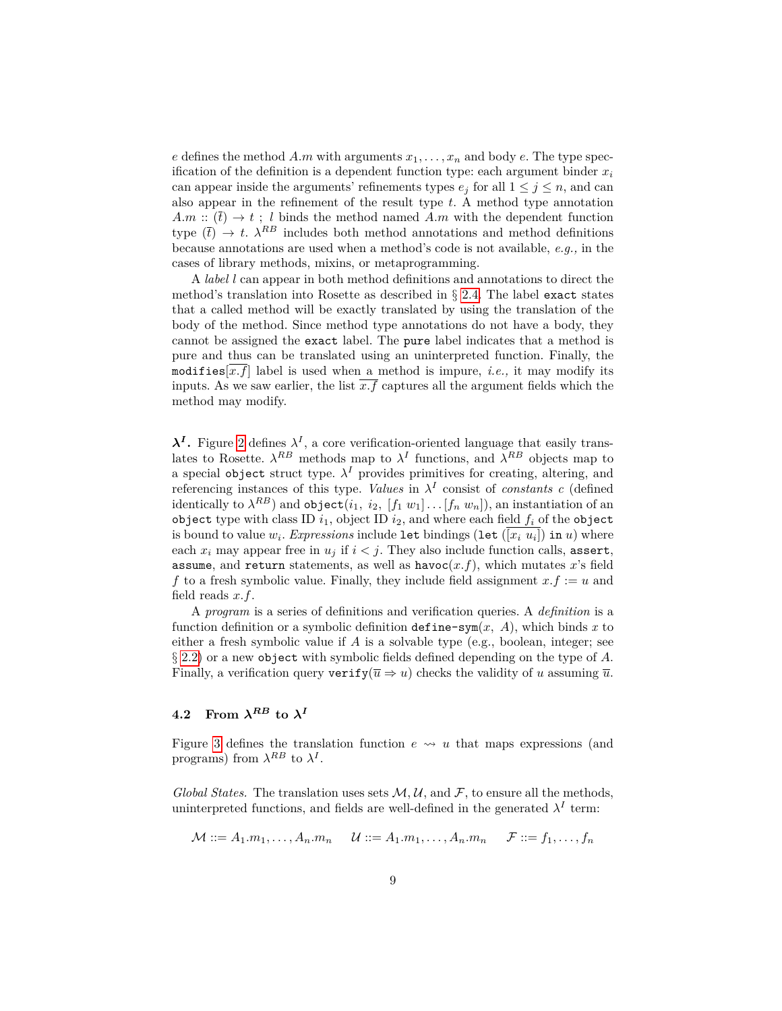*e* defines the method *A.m* with arguments  $x_1, \ldots, x_n$  and body *e*. The type specification of the definition is a dependent function type: each argument binder *x<sup>i</sup>* can appear inside the arguments' refinements types  $e_j$  for all  $1 \leq j \leq n$ , and can also appear in the refinement of the result type *t*. A method type annotation  $A.m$  ::  $(\overline{t}) \rightarrow t$ ; *l* binds the method named *A.m* with the dependent function type  $(\bar{t}) \to t$ .  $\lambda^{RB}$  includes both method annotations and method definitions because annotations are used when a method's code is not available, *e.g.,* in the cases of library methods, mixins, or metaprogramming.

A *label l* can appear in both method definitions and annotations to direct the method's translation into Rosette as described in § [2.4.](#page-3-0) The label exact states that a called method will be exactly translated by using the translation of the body of the method. Since method type annotations do not have a body, they cannot be assigned the exact label. The pure label indicates that a method is pure and thus can be translated using an uninterpreted function. Finally, the modifies[*x.f*] label is used when a method is impure, *i.e.,* it may modify its inputs. As we saw earlier, the list *x.f* captures all the argument fields which the method may modify.

 $\lambda^I$ . Figure [2](#page-7-2) defines  $\lambda^I$ , a core verification-oriented language that easily translates to Rosette.  $\lambda^{RB}$  methods map to  $\lambda^I$  functions, and  $\lambda^{RB}$  objects map to a special object struct type.  $\lambda^I$  provides primitives for creating, altering, and referencing instances of this type. *Values* in  $\lambda^I$  consist of *constants c* (defined identically to  $\lambda^{RB})$  and  $\textsf{object}(i_1,\ i_2,\ [f_1\ w_1]\dots [f_n\ w_n]),$  an instantiation of an object type with class ID  $i_1$ , object ID  $i_2$ , and where each field  $f_i$  of the object is bound to value  $w_i$ . Expressions include let bindings (let  $([x_i \ u_i])$  in  $u)$  where each  $x_i$  may appear free in  $u_j$  if  $i < j$ . They also include function calls, assert, assume, and return statements, as well as havoc(*x.f*), which mutates *x*'s field *f* to a fresh symbolic value. Finally, they include field assignment  $x.f := u$  and field reads *x.f*.

A *program* is a series of definitions and verification queries. A *definition* is a function definition or a symbolic definition define-sym $(x, A)$ , which binds x to either a fresh symbolic value if *A* is a solvable type (e.g., boolean, integer; see § [2.2\)](#page-2-0) or a new object with symbolic fields defined depending on the type of *A*. Finally, a verification query verify( $\overline{u} \Rightarrow u$ ) checks the validity of *u* assuming  $\overline{u}$ .

### <span id="page-8-0"></span>**4.2** From  $\lambda^{RB}$  to  $\lambda^I$

Figure [3](#page-9-0) defines the translation function  $e \rightsquigarrow u$  that maps expressions (and programs) from  $\lambda^{RB}$  to  $\lambda^{I}$ .

*Global States.* The translation uses sets  $M, U$ , and  $\mathcal{F}$ , to ensure all the methods, uninterpreted functions, and fields are well-defined in the generated  $\lambda^I$  term:

$$
\mathcal{M} ::= A_1.m_1,\ldots,A_n.m_n \quad \mathcal{U} ::= A_1.m_1,\ldots,A_n.m_n \quad \mathcal{F} ::= f_1,\ldots,f_n
$$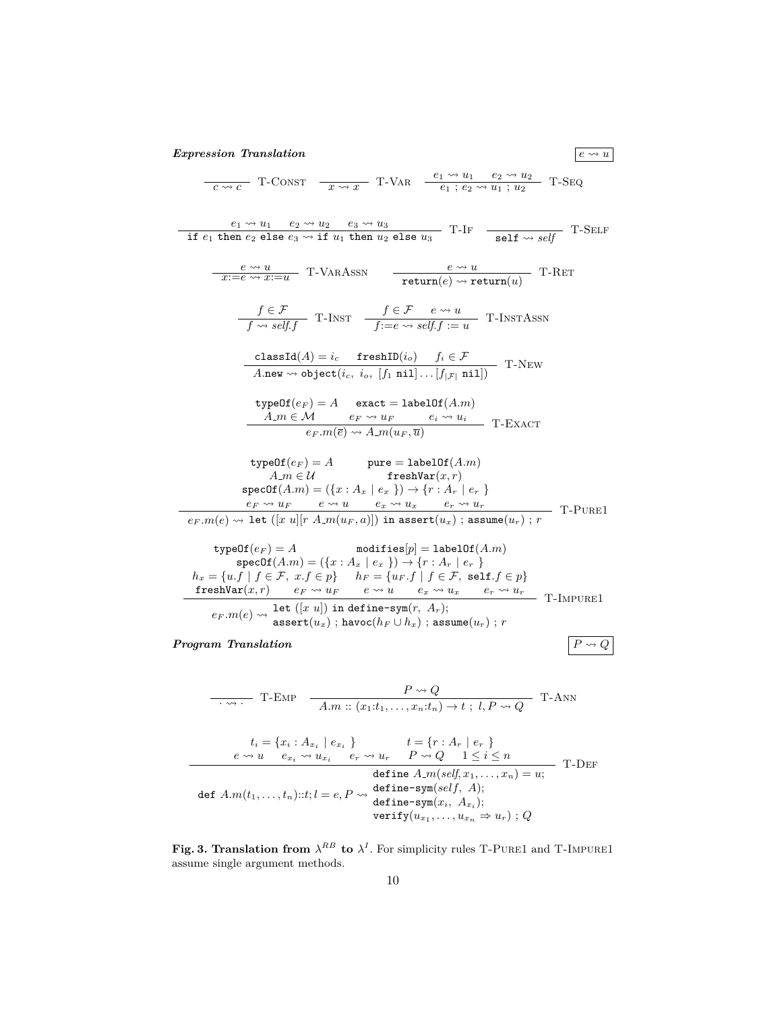$Expression$  **Translation e**  $e \rightarrow u$ 

 $\frac{e_1 \rightsquigarrow u_1}{e \rightsquigarrow e}$  **T**-Const  $\frac{x \rightsquigarrow x}{e_1 \cdot e_2 \cdot \cdots \cdot e_1}$  **T**-Seq  $e_1 \rightsquigarrow u_1$  *e*<sub>2</sub>  $\rightsquigarrow u_2$  *e*<sub>3</sub>  $\rightsquigarrow u_3$  $\frac{e_1 \rightsquigarrow u_1}{e_1 \text{ then } e_2 \text{ else } e_3 \rightsquigarrow \text{ if } u_1 \text{ then } u_2 \text{ else } u_3}$  T-IF  $\frac{e_1 \rightsquigarrow u_1}{\text{self } \rightsquigarrow \text{ self }}$  T-SELF  $e \rightsquigarrow u$  $\frac{e \rightsquigarrow u}{x:=e \rightsquigarrow x:=u}$  T-VarAssn  $\frac{e \rightsquigarrow u}{\text{return}(e) \rightsquigarrow r}$  $\frac{e \rightsquigarrow u}{\texttt{return}(e) \rightsquigarrow \texttt{return}(u)} \quad \text{T-RET}$  $f \in \mathcal{F}$ <br>  $f \rightsquigarrow self.f$  T-INST  $f := e \rightsquigarrow self.f :=$  $f:=e \rightsquigarrow self.f := u$  T-InstAssn  $\frac{\text{classId}(A) = i_c \quad \text{freshID}(i_o) \quad f_i \in \mathcal{F}}{A.\text{new } \leadsto \text{object}(i_c, i_o, [f_1 \text{ nil}] \dots [f_{|\mathcal{F}|} \text{ nil}])}$  T-New  $\tt typeOf(e_F) = A$  exact  $=$  labelOf $(A.m)$  $A_{\sim}m \in \mathcal{M}$  *e<sub>F</sub>*  $\leadsto u_F$  *e<sub>i</sub>*  $\leadsto u_i$  $\frac{e_F \rightsquigarrow u_F}{e_F.m(\overline{e}) \rightsquigarrow A.m(u_F, \overline{u})}$  T-Exact  $\begin{array}{lll} \texttt{typeOf}(e_F) = A & \texttt{pure = labelOf}(A.m) \\ A.m \in \mathcal{U} & \texttt{freshVar}(x,r) \end{array}$  $A_{\sim}m \in \mathcal{U}$  freshVar $(x,r)$  ${\tt specOf}(A.m) = (\{x: A_x \mid e_x\}) \rightarrow \{r: A_r \mid e_r\}$  $e_F \rightsquigarrow u_F$   $e \rightsquigarrow u$   $e_x \rightsquigarrow u_x$   $e_r \rightsquigarrow u_r$  $e_F \leadsto u_F \qquad e \leadsto u \qquad e_x \leadsto u_x \qquad e_r \leadsto u_r$ <br>  $e_F.m(e) \leadsto \texttt{let } ([x \ u][r \ A.m(u_F,a)]) \texttt{ in } \texttt{assert}(u_x) \texttt{ ; } \texttt{assume}(u_r) \texttt{ ; } r$  $\tt typeOf(e_F) = A$  modifies $[p] = \texttt{labelOf}(A.m)$  $specOf(A.m) = (\{x : A_x \mid e_x \}) \rightarrow \{r : A_r \mid e_r \}$  $h_x = \{u.f \mid f \in \mathcal{F}, \ x.f \in p\}$   $h_F = \{u_F.f \mid f \in \mathcal{F}, \ \mathtt{self}.f \in p\}$  ${\bf freshVar}(x, r)$   $e_F \leadsto u_F$   $e \leadsto u$   $e_x \leadsto u_x$   $e_r \leadsto u_r$  T-IMPURE1

 $e_F.m(e) \rightsquigarrow \text{let } ([x, u]) \text{ in define-sym}(r, A_r);$  $\texttt{assert}(u_x)$  ;  $\texttt{havoc}(h_F \cup h_x)$  ;  $\texttt{assume}(u_r)$  ;  $r$ 

*Program Translation*  $|P \leadsto Q$ 

 $\frac{P \rightsquigarrow Q}{\longleftarrow \longrightarrow P}$  T-EMP  $\frac{P \rightsquigarrow Q}{A.m::(x_1:t_1,\ldots,x_n:t_n)}$  $\overline{A.m}$  ::  $(x_1:t_1,\ldots,x_n:t_n) \to t$ ;  $l, P \leadsto Q$  T-Ann  $t_i = \{x_i : A_{x_i} \mid e_{x_i} \}$   $t = \{r : A_r \mid e_r \}$  $e \rightsquigarrow u$  *e*<sub>x<sub>i</sub></sub>  $\rightsquigarrow u_{x_i}$  *e*<sub>r</sub>  $\rightsquigarrow u_r$  *P*  $\rightsquigarrow Q$ 1 ≤ *i* ≤ *n* def  $A.m(t_1, \ldots, t_n)$ :: $t; l = e, P \leadsto \frac{\text{define-sym}(self, A)}{\text{define,-arm}(f, A)}$ ;  $\mathtt{define}\ A_{\mathcal{M}}(self, x_1, \ldots, x_n) = u;$  $\texttt{define-sym}(x_i, A_{x_i});$  $\texttt{verify}(u_{x_1}, \dots, u_{x_n} \Rightarrow u_r)$  ;  $Q$ T-Def

<span id="page-9-0"></span>Fig. 3. Translation from  $\lambda^{RB}$  to  $\lambda^I$ . For simplicity rules T-PURE1 and T-IMPURE1 assume single argument methods.

10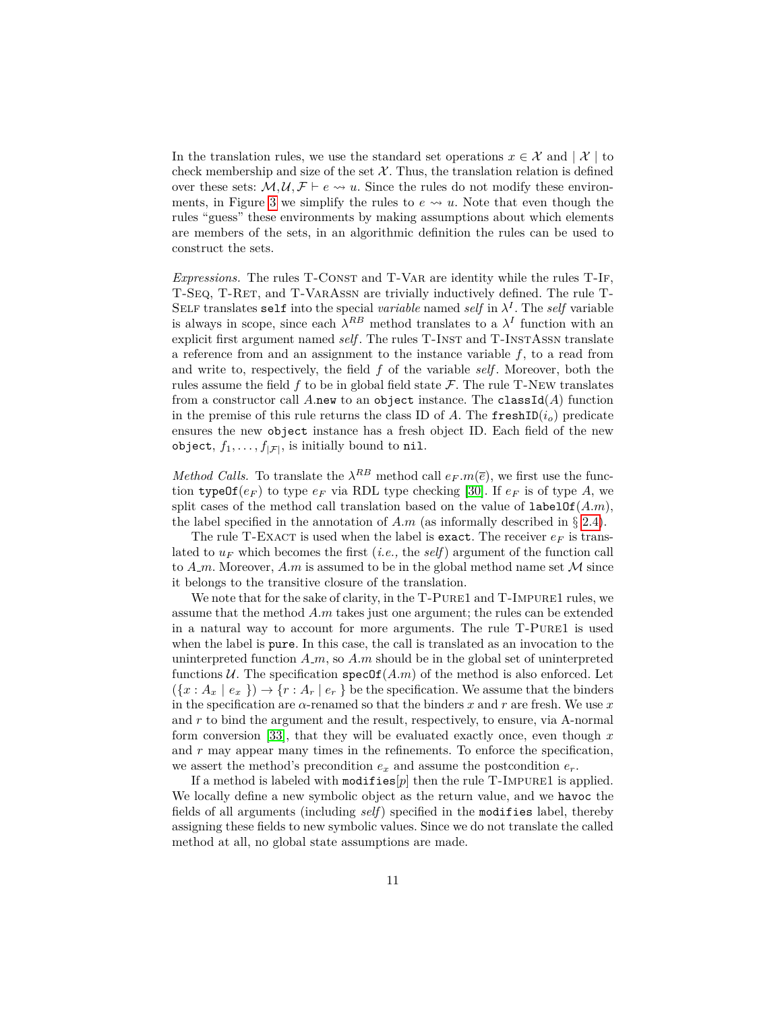In the translation rules, we use the standard set operations  $x \in \mathcal{X}$  and  $|\mathcal{X}|$  to check membership and size of the set  $\mathcal X$ . Thus, the translation relation is defined over these sets:  $M, U, \mathcal{F} \vdash e \leadsto u$ . Since the rules do not modify these environ-ments, in Figure [3](#page-9-0) we simplify the rules to  $e \leftrightarrow u$ . Note that even though the rules "guess" these environments by making assumptions about which elements are members of the sets, in an algorithmic definition the rules can be used to construct the sets.

*Expressions.* The rules T-Const and T-VAR are identity while the rules T-IF, T-Seq, T-Ret, and T-VarAssn are trivially inductively defined. The rule T-SELF translates self into the special *variable* named *self* in  $\lambda^I$ . The *self* variable is always in scope, since each  $\lambda^{RB}$  method translates to a  $\lambda^I$  function with an explicit first argument named *self*. The rules T-INST and T-INSTASSN translate a reference from and an assignment to the instance variable *f*, to a read from and write to, respectively, the field *f* of the variable *self* . Moreover, both the rules assume the field  $f$  to be in global field state  $\mathcal F$ . The rule T-New translates from a constructor call  $A$ .new to an object instance. The classId $(A)$  function in the premise of this rule returns the class ID of *A*. The freedsilo  $(i_o)$  predicate ensures the new object instance has a fresh object ID. Each field of the new object,  $f_1, \ldots, f_{|\mathcal{F}|}$ , is initially bound to nil.

*Method Calls.* To translate the  $\lambda^{RB}$  method call  $e_F.m(\overline{e})$ , we first use the function typeOf( $e_F$ ) to type  $e_F$  via RDL type checking [\[30\]](#page-21-5). If  $e_F$  is of type A, we split cases of the method call translation based on the value of  $labelOf(A.m)$ , the label specified in the annotation of  $A.m$  (as informally described in  $\S 2.4$ ).

The rule T-EXACT is used when the label is exact. The receiver  $e_F$  is translated to  $u_F$  which becomes the first (*i.e.*, the *self*) argument of the function call to  $A_{\mathcal{L}}$ . Moreover,  $A_{\mathcal{L}}$  is assumed to be in the global method name set  $M$  since it belongs to the transitive closure of the translation.

We note that for the sake of clarity, in the T-PURE1 and T-IMPURE1 rules, we assume that the method *A.m* takes just one argument; the rules can be extended in a natural way to account for more arguments. The rule T-PURE1 is used when the label is pure. In this case, the call is translated as an invocation to the uninterpreted function  $A_{.}m$ , so  $A_{.}m$  should be in the global set of uninterpreted functions  $U$ . The specification specOf( $A.m$ ) of the method is also enforced. Let  $({x : A_x \mid e_x}) \rightarrow {r : A_r \mid e_r}$  be the specification. We assume that the binders in the specification are *α*-renamed so that the binders *x* and *r* are fresh. We use *x* and *r* to bind the argument and the result, respectively, to ensure, via A-normal form conversion [\[33\]](#page-21-9), that they will be evaluated exactly once, even though *x* and *r* may appear many times in the refinements. To enforce the specification, we assert the method's precondition  $e_x$  and assume the postcondition  $e_x$ .

If a method is labeled with  $\text{modifies}[p]$  then the rule T-IMPURE1 is applied. We locally define a new symbolic object as the return value, and we havoc the fields of all arguments (including *self*) specified in the modifies label, thereby assigning these fields to new symbolic values. Since we do not translate the called method at all, no global state assumptions are made.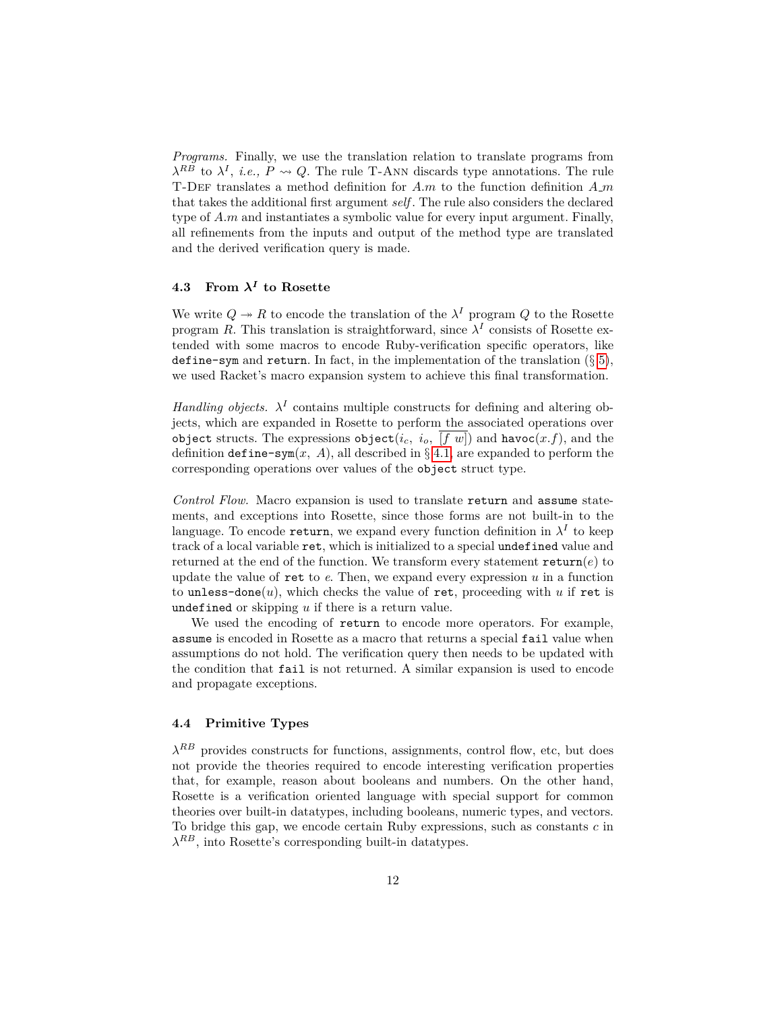*Programs.* Finally, we use the translation relation to translate programs from  $\lambda^{RB}$  to  $\lambda^I$ , *i.e.*,  $P \rightsquigarrow Q$ . The rule T-Ann discards type annotations. The rule T-DEF translates a method definition for  $A.m$  to the function definition  $A.m$ that takes the additional first argument *self* . The rule also considers the declared type of *A.m* and instantiates a symbolic value for every input argument. Finally, all refinements from the inputs and output of the method type are translated and the derived verification query is made.

### <span id="page-11-0"></span>**4.3 From** *λ I* **to Rosette**

We write  $Q \rightarrow R$  to encode the translation of the  $\lambda^I$  program  $Q$  to the Rosette program *R*. This translation is straightforward, since  $\lambda^I$  consists of Rosette extended with some macros to encode Ruby-verification specific operators, like define-sym and return. In fact, in the implementation of the translation  $(\S 5)$  $(\S 5)$ , we used Racket's macro expansion system to achieve this final transformation.

*Handling objects.*  $\lambda^I$  contains multiple constructs for defining and altering objects, which are expanded in Rosette to perform the associated operations over object structs. The expressions object( $i_c$ ,  $i_o$ ,  $\overline{[f\ w]}$ ) and havoc(*x.f*), and the definition define-sym $(x, A)$ , all described in § [4.1,](#page-7-0) are expanded to perform the corresponding operations over values of the object struct type.

*Control Flow.* Macro expansion is used to translate return and assume statements, and exceptions into Rosette, since those forms are not built-in to the language. To encode return, we expand every function definition in  $\lambda^I$  to keep track of a local variable ret, which is initialized to a special undefined value and returned at the end of the function. We transform every statement  $return(e)$  to update the value of ret to *e*. Then, we expand every expression *u* in a function to unless-done(*u*), which checks the value of ret, proceeding with *u* if ret is undefined or skipping *u* if there is a return value.

We used the encoding of return to encode more operators. For example, assume is encoded in Rosette as a macro that returns a special fail value when assumptions do not hold. The verification query then needs to be updated with the condition that fail is not returned. A similar expansion is used to encode and propagate exceptions.

#### <span id="page-11-1"></span>**4.4 Primitive Types**

 $\lambda^{RB}$  provides constructs for functions, assignments, control flow, etc, but does not provide the theories required to encode interesting verification properties that, for example, reason about booleans and numbers. On the other hand, Rosette is a verification oriented language with special support for common theories over built-in datatypes, including booleans, numeric types, and vectors. To bridge this gap, we encode certain Ruby expressions, such as constants *c* in *λ RB*, into Rosette's corresponding built-in datatypes.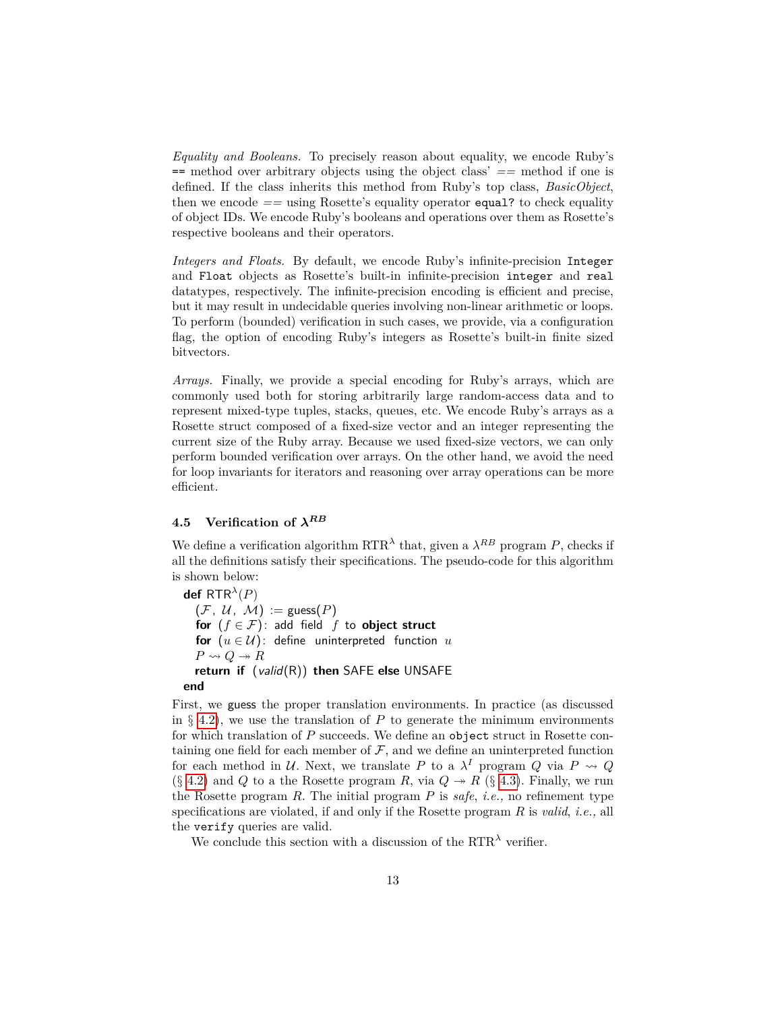*Equality and Booleans.* To precisely reason about equality, we encode Ruby's == method over arbitrary objects using the object class' *==* method if one is defined. If the class inherits this method from Ruby's top class, *BasicObject*, then we encode  $==$  using Rosette's equality operator equal? to check equality of object IDs. We encode Ruby's booleans and operations over them as Rosette's respective booleans and their operators.

*Integers and Floats.* By default, we encode Ruby's infinite-precision Integer and Float objects as Rosette's built-in infinite-precision integer and real datatypes, respectively. The infinite-precision encoding is efficient and precise, but it may result in undecidable queries involving non-linear arithmetic or loops. To perform (bounded) verification in such cases, we provide, via a configuration flag, the option of encoding Ruby's integers as Rosette's built-in finite sized bitvectors.

*Arrays.* Finally, we provide a special encoding for Ruby's arrays, which are commonly used both for storing arbitrarily large random-access data and to represent mixed-type tuples, stacks, queues, etc. We encode Ruby's arrays as a Rosette struct composed of a fixed-size vector and an integer representing the current size of the Ruby array. Because we used fixed-size vectors, we can only perform bounded verification over arrays. On the other hand, we avoid the need for loop invariants for iterators and reasoning over array operations can be more efficient.

### <span id="page-12-0"></span>**4.5 Verification of** *λ RB*

We define a verification algorithm  $RTR^{\lambda}$  that, given a  $\lambda^{RB}$  program P, checks if all the definitions satisfy their specifications. The pseudo-code for this algorithm is shown below:

 $\operatorname{\sf def} \, \mathsf{RTR}^{\lambda}(P)$  $(F, U, M) :=$  guess $(P)$ **for**  $(f \in \mathcal{F})$ : add field  $f$  to **object struct for**  $(u \in \mathcal{U})$ : define uninterpreted function  $u$  $P \rightsquigarrow Q \rightarrow R$ **return if** (valid(R)) **then** SAFE **else** UNSAFE **end**

First, we guess the proper translation environments. In practice (as discussed in  $\S$  [4.2\)](#page-8-0), we use the translation of  $P$  to generate the minimum environments for which translation of *P* succeeds. We define an object struct in Rosette containing one field for each member of  $F$ , and we define an uninterpreted function for each method in U. Next, we translate P to a  $\lambda^I$  program Q via  $P \rightsquigarrow Q$  $(\S 4.2)$  $(\S 4.2)$  and *Q* to a the Rosette program *R*, via  $Q \rightarrow R$  ( $\S 4.3$ ). Finally, we run the Rosette program *R*. The initial program *P* is *safe*, *i.e.,* no refinement type specifications are violated, if and only if the Rosette program *R* is *valid*, *i.e.,* all the verify queries are valid.

We conclude this section with a discussion of the  $\text{RTR}^{\lambda}$  verifier.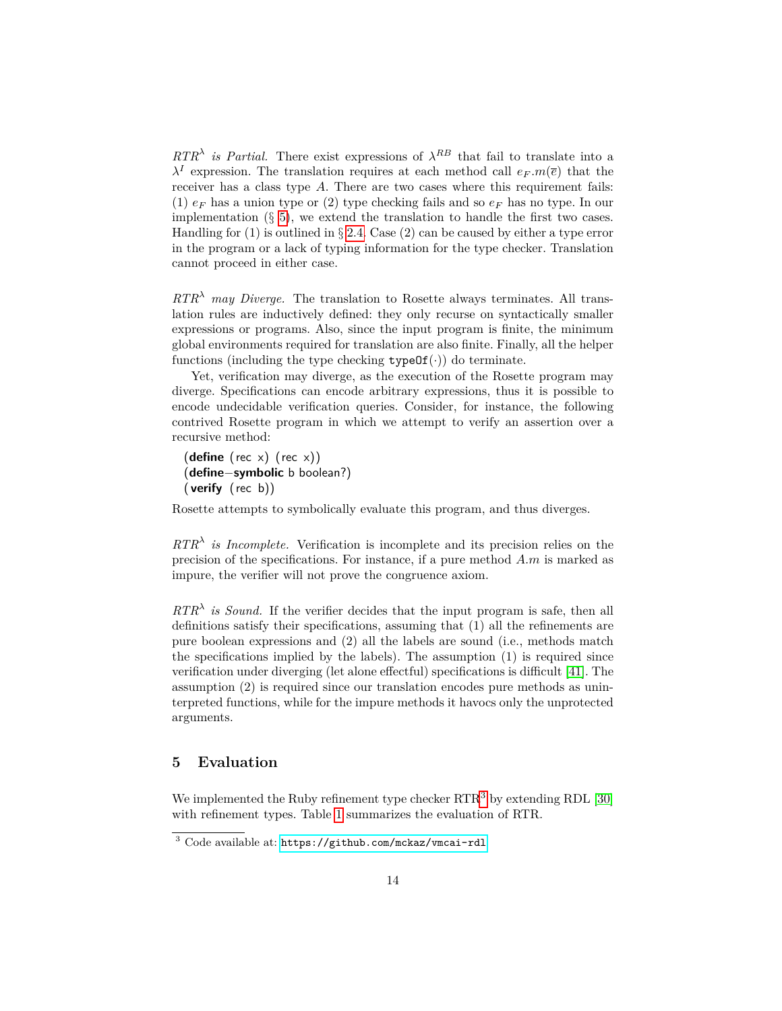$RTR^{\lambda}$  *is Partial.* There exist expressions of  $\lambda^{RB}$  that fail to translate into a  $\lambda^I$  expression. The translation requires at each method call  $e_F.m(\overline{e})$  that the receiver has a class type *A*. There are two cases where this requirement fails: (1) *e<sup>F</sup>* has a union type or (2) type checking fails and so *e<sup>F</sup>* has no type. In our implementation  $(\S 5)$  $(\S 5)$ , we extend the translation to handle the first two cases. Handling for  $(1)$  is outlined in § [2.4.](#page-3-0) Case  $(2)$  can be caused by either a type error in the program or a lack of typing information for the type checker. Translation cannot proceed in either case.

 $RTR^{\lambda}$  *may Diverge.* The translation to Rosette always terminates. All translation rules are inductively defined: they only recurse on syntactically smaller expressions or programs. Also, since the input program is finite, the minimum global environments required for translation are also finite. Finally, all the helper functions (including the type checking  $typeOf(\cdot)$ ) do terminate.

Yet, verification may diverge, as the execution of the Rosette program may diverge. Specifications can encode arbitrary expressions, thus it is possible to encode undecidable verification queries. Consider, for instance, the following contrived Rosette program in which we attempt to verify an assertion over a recursive method:

(**define** ( rec x) ( rec x)) (**define**−**symbolic** b boolean?) ( **verify** ( rec b))

Rosette attempts to symbolically evaluate this program, and thus diverges.

 $RTR<sup>λ</sup>$  *is Incomplete.* Verification is incomplete and its precision relies on the precision of the specifications. For instance, if a pure method *A.m* is marked as impure, the verifier will not prove the congruence axiom.

 $RTR<sup>λ</sup>$  *is Sound.* If the verifier decides that the input program is safe, then all definitions satisfy their specifications, assuming that (1) all the refinements are pure boolean expressions and (2) all the labels are sound (i.e., methods match the specifications implied by the labels). The assumption (1) is required since verification under diverging (let alone effectful) specifications is difficult [\[41\]](#page-21-7). The assumption (2) is required since our translation encodes pure methods as uninterpreted functions, while for the impure methods it havocs only the unprotected arguments.

### <span id="page-13-0"></span>**5 Evaluation**

We implemented the Ruby refinement type checker  $RTR<sup>3</sup>$  $RTR<sup>3</sup>$  $RTR<sup>3</sup>$  by extending RDL [\[30\]](#page-21-5) with refinement types. Table [1](#page-15-0) summarizes the evaluation of RTR.

<span id="page-13-1"></span><sup>3</sup> Code available at: <https://github.com/mckaz/vmcai-rdl>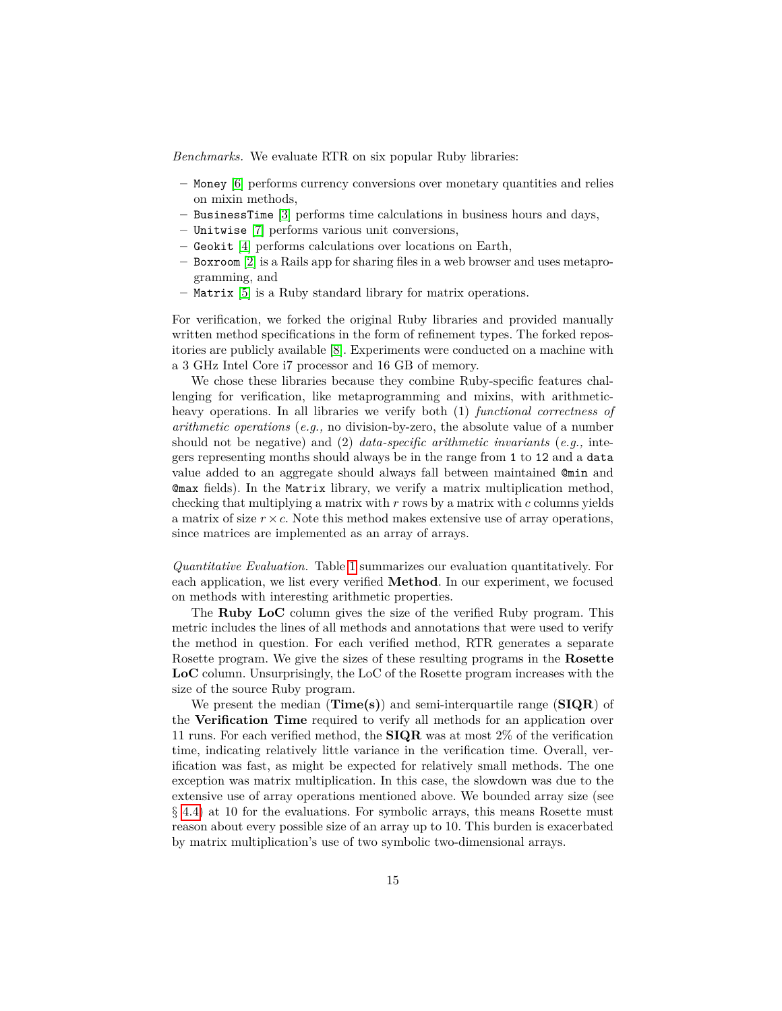*Benchmarks.* We evaluate RTR on six popular Ruby libraries:

- **–** Money [\[6\]](#page-20-9) performs currency conversions over monetary quantities and relies on mixin methods,
- **–** BusinessTime [\[3\]](#page-20-10) performs time calculations in business hours and days,
- **–** Unitwise [\[7\]](#page-20-11) performs various unit conversions,
- **–** Geokit [\[4\]](#page-20-12) performs calculations over locations on Earth,
- **–** Boxroom [\[2\]](#page-20-13) is a Rails app for sharing files in a web browser and uses metaprogramming, and
- **–** Matrix [\[5\]](#page-20-14) is a Ruby standard library for matrix operations.

For verification, we forked the original Ruby libraries and provided manually written method specifications in the form of refinement types. The forked repositories are publicly available [\[8\]](#page-20-15). Experiments were conducted on a machine with a 3 GHz Intel Core i7 processor and 16 GB of memory.

We chose these libraries because they combine Ruby-specific features challenging for verification, like metaprogramming and mixins, with arithmeticheavy operations. In all libraries we verify both (1) *functional correctness of arithmetic operations* (*e.g.,* no division-by-zero, the absolute value of a number should not be negative) and (2) *data-specific arithmetic invariants* (*e.g.,* integers representing months should always be in the range from 1 to 12 and a data value added to an aggregate should always fall between maintained @min and @max fields). In the Matrix library, we verify a matrix multiplication method, checking that multiplying a matrix with *r* rows by a matrix with *c* columns yields a matrix of size  $r \times c$ . Note this method makes extensive use of array operations, since matrices are implemented as an array of arrays.

*Quantitative Evaluation.* Table [1](#page-15-0) summarizes our evaluation quantitatively. For each application, we list every verified **Method**. In our experiment, we focused on methods with interesting arithmetic properties.

The **Ruby LoC** column gives the size of the verified Ruby program. This metric includes the lines of all methods and annotations that were used to verify the method in question. For each verified method, RTR generates a separate Rosette program. We give the sizes of these resulting programs in the **Rosette LoC** column. Unsurprisingly, the LoC of the Rosette program increases with the size of the source Ruby program.

We present the median (**Time(s)**) and semi-interquartile range (**SIQR**) of the **Verification Time** required to verify all methods for an application over 11 runs. For each verified method, the **SIQR** was at most 2% of the verification time, indicating relatively little variance in the verification time. Overall, verification was fast, as might be expected for relatively small methods. The one exception was matrix multiplication. In this case, the slowdown was due to the extensive use of array operations mentioned above. We bounded array size (see § [4.4\)](#page-11-1) at 10 for the evaluations. For symbolic arrays, this means Rosette must reason about every possible size of an array up to 10. This burden is exacerbated by matrix multiplication's use of two symbolic two-dimensional arrays.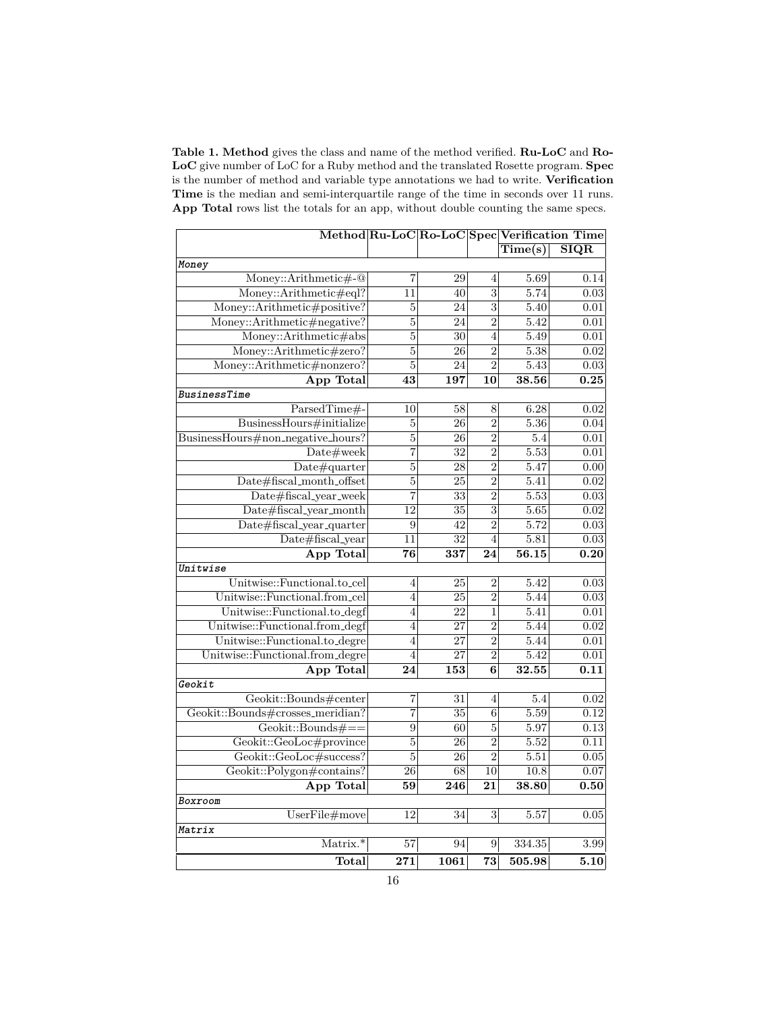<span id="page-15-0"></span>**Table 1. Method** gives the class and name of the method verified. **Ru-LoC** and **Ro-LoC** give number of LoC for a Ruby method and the translated Rosette program. **Spec** is the number of method and variable type annotations we had to write. **Verification Time** is the median and semi-interquartile range of the time in seconds over 11 runs. **App Total** rows list the totals for an app, without double counting the same specs.

|                                            |                 |                 |                           | Method Ru-LoC Ro-LoC Spec Verification Time |                   |
|--------------------------------------------|-----------------|-----------------|---------------------------|---------------------------------------------|-------------------|
|                                            |                 |                 |                           | $\overline{\text{Time(s)}}$                 | <b>SIQR</b>       |
| Money                                      |                 |                 |                           |                                             |                   |
| Money::Arithmetic#-@                       | 7               | 29              | $\overline{4}$            | 5.69                                        | 0.14              |
| Money::Arithmetic#eql?                     | 11              | 40              | $\overline{3}$            | 5.74                                        | 0.03              |
| Money::Arithmetic#positive?                | 5               | $\overline{24}$ | $\overline{\overline{3}}$ | 5.40                                        | 0.01              |
| Money::Arithmetic#negative?                | $\overline{5}$  | 24              | $\overline{2}$            | 5.42                                        | 0.01              |
| Money::Arithmetic#abs                      | $\overline{5}$  | 30              | $\overline{4}$            | 5.49                                        | 0.01              |
| Money::Arithmetic#zero?                    | $\overline{5}$  | $\overline{26}$ | $\overline{2}$            | 5.38                                        | 0.02              |
| Money::Arithmetic#nonzero?                 | $\overline{5}$  | 24              | $\overline{2}$            | 5.43                                        | 0.03              |
| <b>App Total</b>                           | 43              | 197             | 10                        | 38.56                                       | 0.25              |
| BusinessTime                               |                 |                 |                           |                                             |                   |
| ParsedTime#-                               | 10              | 58              | 8                         | 6.28                                        | 0.02              |
| BusinessHours#initialize                   | $\overline{5}$  | 26              | $\overline{2}$            | 5.36                                        | 0.04              |
| BusinessHours#non_negative_hours?          | $\overline{5}$  | 26              | $\overline{2}$            | 5.4                                         | $\overline{0.01}$ |
| Date#week                                  | $\overline{7}$  | 32              | $\overline{2}$            | 5.53                                        | 0.01              |
| $Date\# quarter$                           | $\overline{5}$  | $\overline{28}$ | $\overline{2}$            | 5.47                                        | 0.00              |
| Date#fiscal_month_offset                   | $\overline{5}$  | 25              | $\overline{2}$            | 5.41                                        | 0.02              |
| $\overline{\text{Date#fical\_year\_week}}$ | $\overline{7}$  | 33              | $\overline{2}$            | 5.53                                        | 0.03              |
| Date#fiscal_year_month                     | $\overline{12}$ | $\overline{35}$ | $\overline{3}$            | 5.65                                        | 0.02              |
| Date#fiscal_year_quarter                   | 9               | 42              | $\overline{2}$            | 5.72                                        | 0.03              |
| Date#fiscal.year                           | 11              | 32              | $\overline{4}$            | 5.81                                        | 0.03              |
| App Total                                  | 76              | 337             | 24                        | 56.15                                       | 0.20              |
| Unitwise                                   |                 |                 |                           |                                             |                   |
| Unitwise::Functional.to_cel                | 4               | 25              | $\overline{2}$            | 5.42                                        | 0.03              |
| Unitwise::Functional.from_cel              | $\overline{4}$  | $\overline{25}$ | $\overline{2}$            | 5.44                                        | 0.03              |
| Unitwise::Functional.to_degf               | $\overline{4}$  | 22              | $\mathbf{1}$              | 5.41                                        | 0.01              |
| Unitwise::Functional.from_degf             | 4               | 27              | $\overline{2}$            | 5.44                                        | 0.02              |
| Unitwise::Functional.to_degre              | $\overline{4}$  | 27              | $\overline{2}$            | 5.44                                        | 0.01              |
| Unitwise::Functional.from_degre            | $\overline{4}$  | 27              | $\overline{2}$            | 5.42                                        | 0.01              |
| App Total                                  | 24              | 153             | 6                         | 32.55                                       | 0.11              |
| Geokit                                     |                 |                 |                           |                                             |                   |
| Geokit::Bounds#center                      | 7               | 31              | 4                         | 5.4                                         | 0.02              |
| Geokit::Bounds#crosses_meridian?           | $\overline{7}$  | $\overline{35}$ | 6                         | 5.59                                        | 0.12              |
| $Geokit::Bounds#==$                        | $\overline{9}$  | 60              | $\overline{5}$            | 5.97                                        | 0.13              |
| Geokit::GeoLoc#province                    | $\overline{5}$  | 26              | $\overline{2}$            | 5.52                                        | 0.11              |
| Geokit::GeoLoc#success?                    | $\overline{5}$  | $\overline{26}$ | $\overline{2}$            | 5.51                                        | 0.05              |
| Geokit::Polygon#contains?                  | 26              | 68              | 10                        | 10.8                                        | 0.07              |
| App Total                                  | 59              | 246             | 21                        | 38.80                                       | 0.50              |
| Boxroom                                    |                 |                 |                           |                                             |                   |
| UserFile#move                              | 12              | 34              | $\overline{3}$            | 5.57                                        | 0.05              |
| Matrix                                     |                 |                 |                           |                                             |                   |
| Matrix.*                                   | 57              | 94              | 9                         | 334.35                                      | 3.99              |
| Total                                      | 271             | 1061            | 73                        | 505.98                                      | 5.10              |
|                                            |                 |                 |                           |                                             |                   |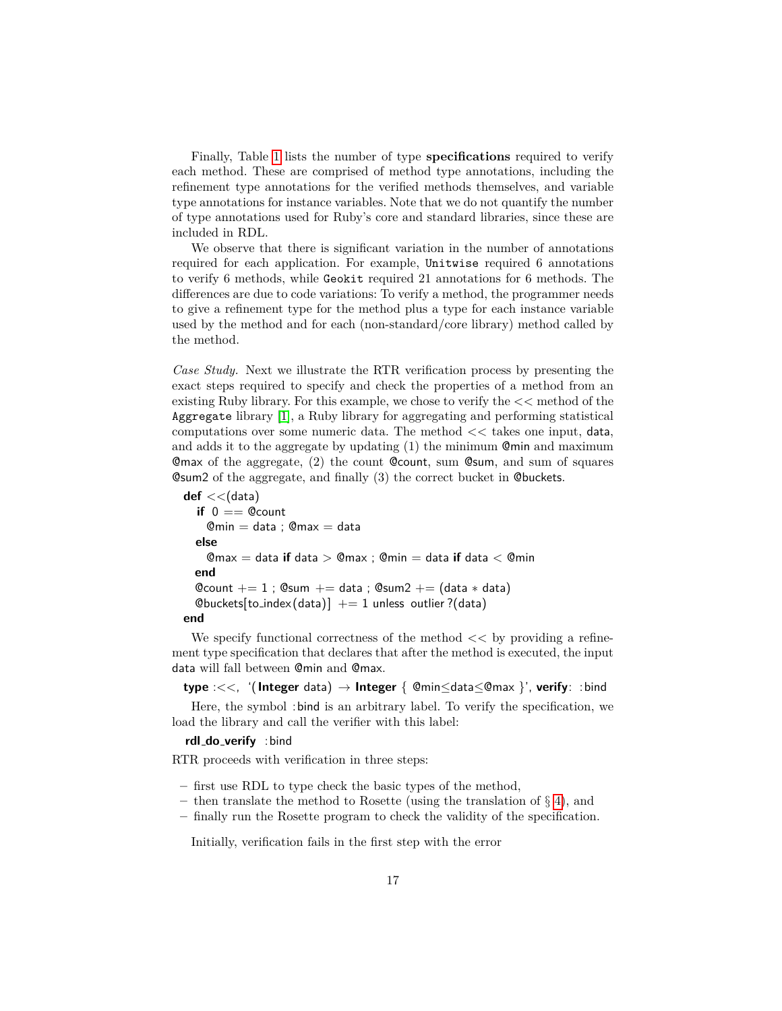Finally, Table [1](#page-15-0) lists the number of type **specifications** required to verify each method. These are comprised of method type annotations, including the refinement type annotations for the verified methods themselves, and variable type annotations for instance variables. Note that we do not quantify the number of type annotations used for Ruby's core and standard libraries, since these are included in RDL.

We observe that there is significant variation in the number of annotations required for each application. For example, Unitwise required 6 annotations to verify 6 methods, while Geokit required 21 annotations for 6 methods. The differences are due to code variations: To verify a method, the programmer needs to give a refinement type for the method plus a type for each instance variable used by the method and for each (non-standard/core library) method called by the method.

*Case Study.* Next we illustrate the RTR verification process by presenting the exact steps required to specify and check the properties of a method from an existing Ruby library. For this example, we chose to verify the  $<<$  method of the Aggregate library [\[1\]](#page-20-16), a Ruby library for aggregating and performing statistical computations over some numeric data. The method  $<<$  takes one input, data, and adds it to the aggregate by updating (1) the minimum @min and maximum @max of the aggregate, (2) the count @count, sum @sum, and sum of squares @sum2 of the aggregate, and finally (3) the correct bucket in @buckets.

```
\text{def} < << (data)
  if 0 == @count
    Qmin = data; Qmax = dataelse
    @max = data if data > @max ; @min = data if data < @min
  end
  \mathbb{Q}count += 1; \mathbb{Q}sum += data; \mathbb{Q}sum2 += (data * data)
  \mathbb{Q}buckets[to_index(data)] += 1 unless outlier ?(data)
end
```
We specify functional correctness of the method  $\lt\lt$  by providing a refinement type specification that declares that after the method is executed, the input data will fall between @min and @max.

**type** :<<, '(**Integer** data) → **Integer** { @min≤data≤@max }', **verify**: :bind

Here, the symbol :bind is an arbitrary label. To verify the specification, we load the library and call the verifier with this label:

#### **rdl do verify** :bind

RTR proceeds with verification in three steps:

- **–** first use RDL to type check the basic types of the method,
- **–** then translate the method to Rosette (using the translation of § [4\)](#page-6-0), and
- **–** finally run the Rosette program to check the validity of the specification.

Initially, verification fails in the first step with the error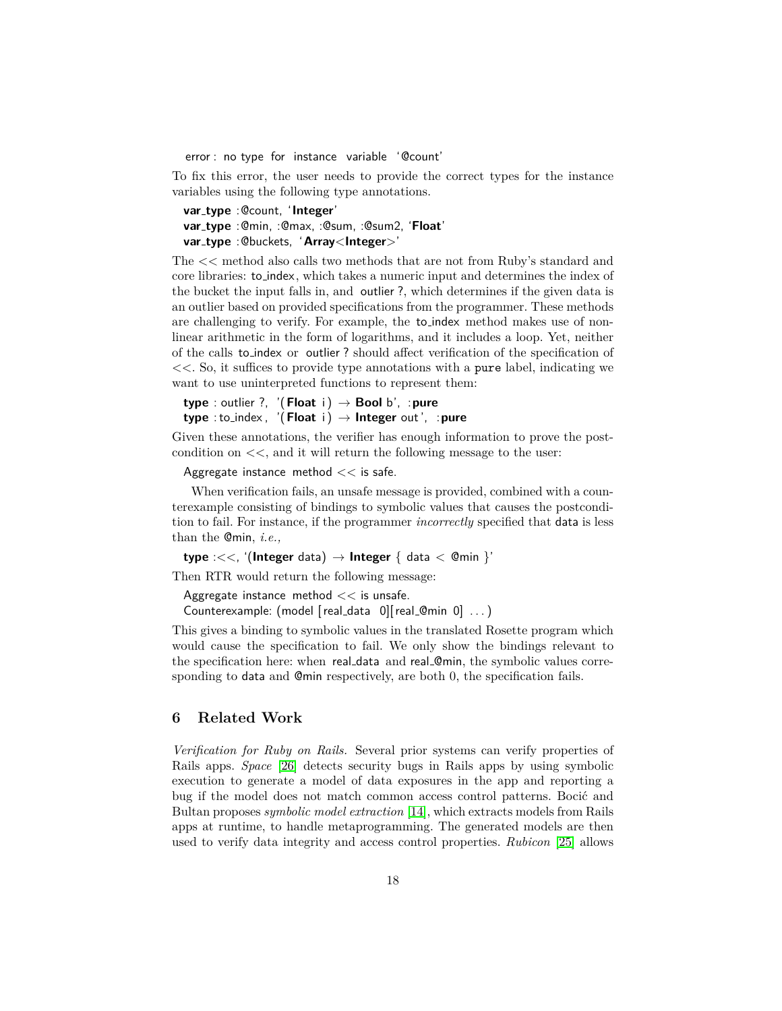error : no type for instance variable '@count'

To fix this error, the user needs to provide the correct types for the instance variables using the following type annotations.

**var type** :@count, '**Integer**' **var type** :@min, :@max, :@sum, :@sum2, '**Float**' **var type** :@buckets, '**Array**<**Integer**>'

The << method also calls two methods that are not from Ruby's standard and core libraries: to index, which takes a numeric input and determines the index of the bucket the input falls in, and outlier ?, which determines if the given data is an outlier based on provided specifications from the programmer. These methods are challenging to verify. For example, the to index method makes use of nonlinear arithmetic in the form of logarithms, and it includes a loop. Yet, neither of the calls to index or outlier ? should affect verification of the specification of  $\leq$ . So, it suffices to provide type annotations with a pure label, indicating we want to use uninterpreted functions to represent them:

```
type : outlier ?, '(Float i) \rightarrow Bool b', : pure
type : to_index, \prime (Float i) \rightarrow Integer out', : pure
```
Given these annotations, the verifier has enough information to prove the postcondition on  $<<$ , and it will return the following message to the user:

```
Aggregate instance method << is safe.
```
When verification fails, an unsafe message is provided, combined with a counterexample consisting of bindings to symbolic values that causes the postcondition to fail. For instance, if the programmer *incorrectly* specified that data is less than the @min, *i.e.,*

**type** :<<, '(**Integer** data) → **Integer** { data *<* @min }'

Then RTR would return the following message:

Aggregate instance method  $<<$  is unsafe. Counterexample: (model [ real data 0][ real @min 0] . . . )

This gives a binding to symbolic values in the translated Rosette program which would cause the specification to fail. We only show the bindings relevant to the specification here: when real\_data and real\_@min, the symbolic values corresponding to data and @min respectively, are both 0, the specification fails.

### **6 Related Work**

*Verification for Ruby on Rails.* Several prior systems can verify properties of Rails apps. *Space* [\[26\]](#page-21-10) detects security bugs in Rails apps by using symbolic execution to generate a model of data exposures in the app and reporting a bug if the model does not match common access control patterns. Bocić and Bultan proposes *symbolic model extraction* [\[14\]](#page-20-17), which extracts models from Rails apps at runtime, to handle metaprogramming. The generated models are then used to verify data integrity and access control properties. *Rubicon* [\[25\]](#page-20-18) allows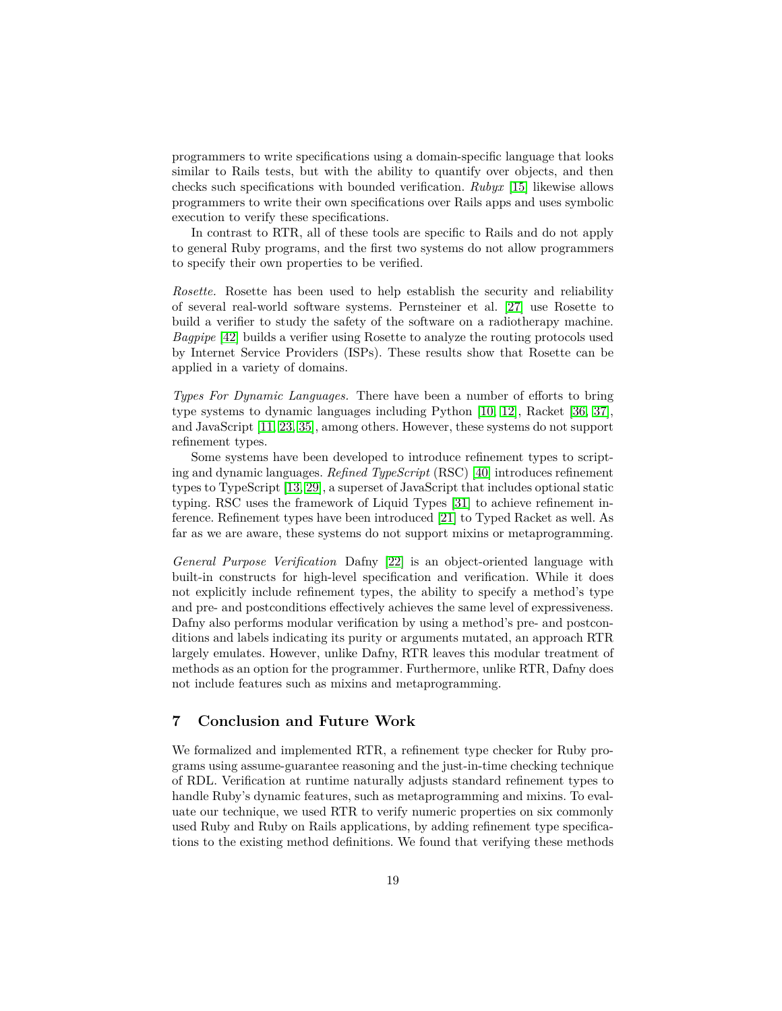programmers to write specifications using a domain-specific language that looks similar to Rails tests, but with the ability to quantify over objects, and then checks such specifications with bounded verification. *Rubyx* [\[15\]](#page-20-19) likewise allows programmers to write their own specifications over Rails apps and uses symbolic execution to verify these specifications.

In contrast to RTR, all of these tools are specific to Rails and do not apply to general Ruby programs, and the first two systems do not allow programmers to specify their own properties to be verified.

*Rosette.* Rosette has been used to help establish the security and reliability of several real-world software systems. Pernsteiner et al. [\[27\]](#page-21-11) use Rosette to build a verifier to study the safety of the software on a radiotherapy machine. *Bagpipe* [\[42\]](#page-21-12) builds a verifier using Rosette to analyze the routing protocols used by Internet Service Providers (ISPs). These results show that Rosette can be applied in a variety of domains.

*Types For Dynamic Languages.* There have been a number of efforts to bring type systems to dynamic languages including Python [\[10,](#page-20-20) [12\]](#page-20-21), Racket [\[36,](#page-21-13) [37\]](#page-21-14), and JavaScript [\[11,](#page-20-22) [23,](#page-20-23) [35\]](#page-21-15), among others. However, these systems do not support refinement types.

Some systems have been developed to introduce refinement types to scripting and dynamic languages. *Refined TypeScript* (RSC) [\[40\]](#page-21-4) introduces refinement types to TypeScript [\[13,](#page-20-24) [29\]](#page-21-16), a superset of JavaScript that includes optional static typing. RSC uses the framework of Liquid Types [\[31\]](#page-21-17) to achieve refinement inference. Refinement types have been introduced [\[21\]](#page-20-2) to Typed Racket as well. As far as we are aware, these systems do not support mixins or metaprogramming.

*General Purpose Verification* Dafny [\[22\]](#page-20-8) is an object-oriented language with built-in constructs for high-level specification and verification. While it does not explicitly include refinement types, the ability to specify a method's type and pre- and postconditions effectively achieves the same level of expressiveness. Dafny also performs modular verification by using a method's pre- and postconditions and labels indicating its purity or arguments mutated, an approach RTR largely emulates. However, unlike Dafny, RTR leaves this modular treatment of methods as an option for the programmer. Furthermore, unlike RTR, Dafny does not include features such as mixins and metaprogramming.

### **7 Conclusion and Future Work**

We formalized and implemented RTR, a refinement type checker for Ruby programs using assume-guarantee reasoning and the just-in-time checking technique of RDL. Verification at runtime naturally adjusts standard refinement types to handle Ruby's dynamic features, such as metaprogramming and mixins. To evaluate our technique, we used RTR to verify numeric properties on six commonly used Ruby and Ruby on Rails applications, by adding refinement type specifications to the existing method definitions. We found that verifying these methods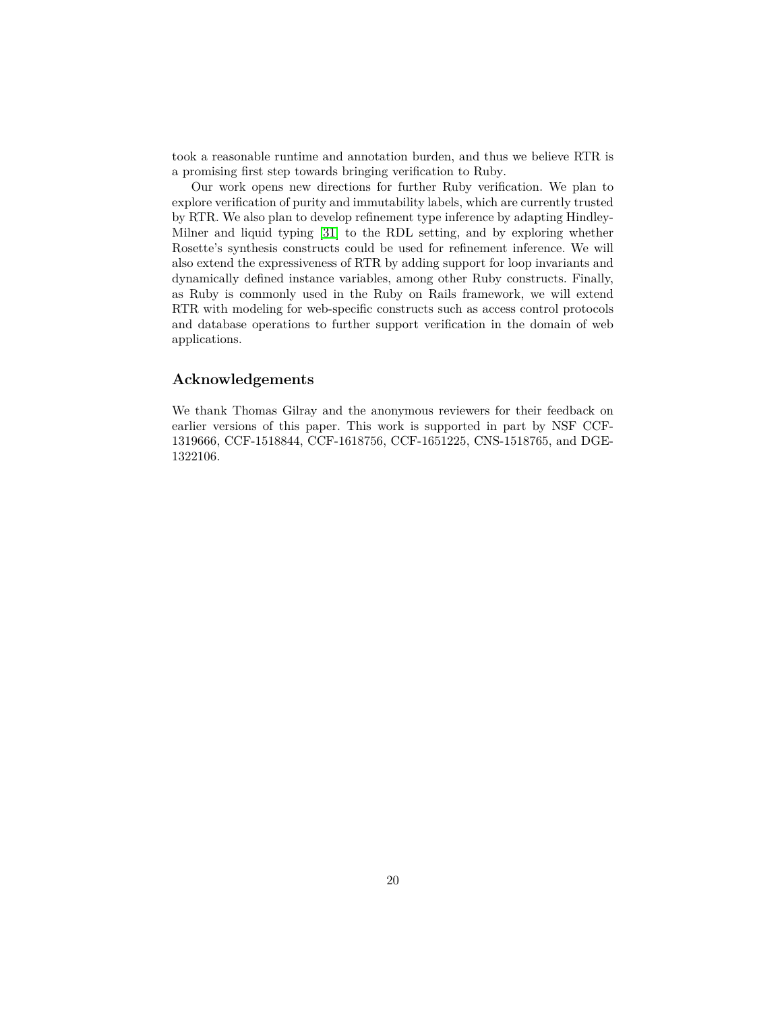took a reasonable runtime and annotation burden, and thus we believe RTR is a promising first step towards bringing verification to Ruby.

Our work opens new directions for further Ruby verification. We plan to explore verification of purity and immutability labels, which are currently trusted by RTR. We also plan to develop refinement type inference by adapting Hindley-Milner and liquid typing [\[31\]](#page-21-17) to the RDL setting, and by exploring whether Rosette's synthesis constructs could be used for refinement inference. We will also extend the expressiveness of RTR by adding support for loop invariants and dynamically defined instance variables, among other Ruby constructs. Finally, as Ruby is commonly used in the Ruby on Rails framework, we will extend RTR with modeling for web-specific constructs such as access control protocols and database operations to further support verification in the domain of web applications.

### **Acknowledgements**

We thank Thomas Gilray and the anonymous reviewers for their feedback on earlier versions of this paper. This work is supported in part by NSF CCF-1319666, CCF-1518844, CCF-1618756, CCF-1651225, CNS-1518765, and DGE-1322106.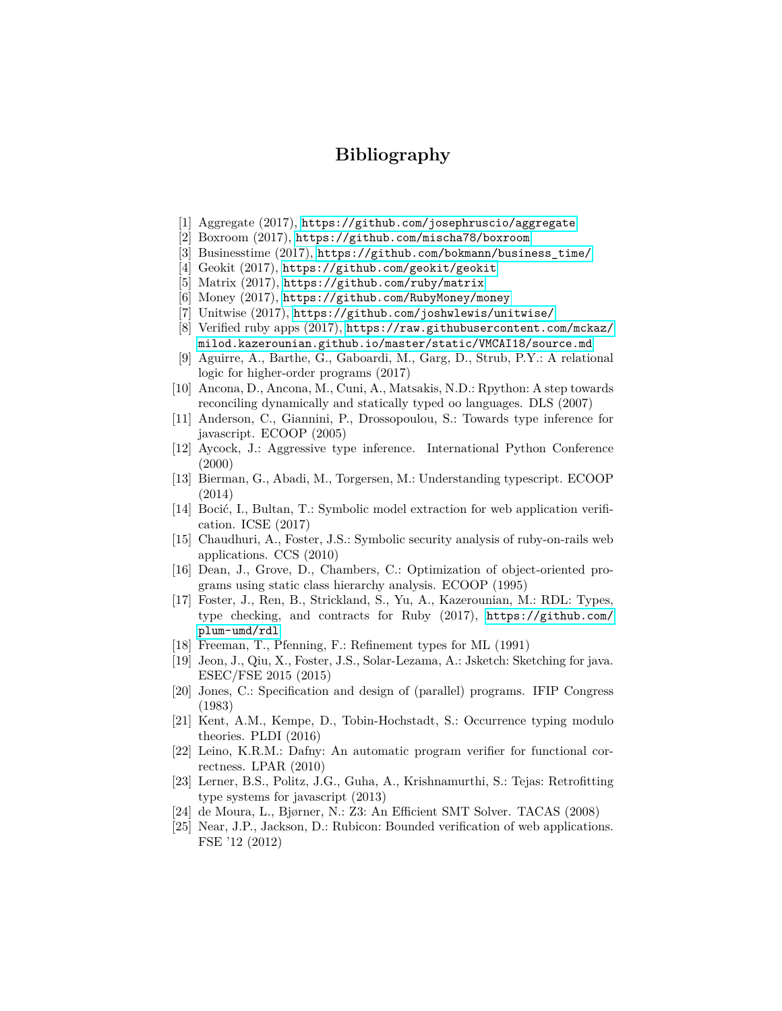# **Bibliography**

- <span id="page-20-16"></span>[1] Aggregate (2017), <https://github.com/josephruscio/aggregate>
- <span id="page-20-13"></span>[2] Boxroom (2017), <https://github.com/mischa78/boxroom>
- <span id="page-20-10"></span>[3] Businesstime (2017), [https://github.com/bokmann/business\\_time/](https://github.com/bokmann/business_time/)
- <span id="page-20-12"></span>[4] Geokit (2017), <https://github.com/geokit/geokit>
- <span id="page-20-14"></span>[5] Matrix (2017), <https://github.com/ruby/matrix>
- <span id="page-20-9"></span>[6] Money (2017), <https://github.com/RubyMoney/money>
- <span id="page-20-11"></span>[7] Unitwise (2017), <https://github.com/joshwlewis/unitwise/>
- <span id="page-20-15"></span>[8] Verified ruby apps (2017), [https://raw.githubusercontent.com/mckaz/](https://raw.githubusercontent.com/mckaz/milod.kazerounian.github.io/master/static/VMCAI18/source.md) [milod.kazerounian.github.io/master/static/VMCAI18/source.md](https://raw.githubusercontent.com/mckaz/milod.kazerounian.github.io/master/static/VMCAI18/source.md)
- <span id="page-20-0"></span>[9] Aguirre, A., Barthe, G., Gaboardi, M., Garg, D., Strub, P.Y.: A relational logic for higher-order programs (2017)
- <span id="page-20-20"></span>[10] Ancona, D., Ancona, M., Cuni, A., Matsakis, N.D.: Rpython: A step towards reconciling dynamically and statically typed oo languages. DLS (2007)
- <span id="page-20-22"></span>[11] Anderson, C., Giannini, P., Drossopoulou, S.: Towards type inference for javascript. ECOOP (2005)
- <span id="page-20-21"></span>[12] Aycock, J.: Aggressive type inference. International Python Conference (2000)
- <span id="page-20-24"></span>[13] Bierman, G., Abadi, M., Torgersen, M.: Understanding typescript. ECOOP (2014)
- <span id="page-20-17"></span>[14] Bocić, I., Bultan, T.: Symbolic model extraction for web application verification. ICSE (2017)
- <span id="page-20-19"></span>[15] Chaudhuri, A., Foster, J.S.: Symbolic security analysis of ruby-on-rails web applications. CCS (2010)
- <span id="page-20-7"></span>[16] Dean, J., Grove, D., Chambers, C.: Optimization of object-oriented programs using static class hierarchy analysis. ECOOP (1995)
- <span id="page-20-3"></span>[17] Foster, J., Ren, B., Strickland, S., Yu, A., Kazerounian, M.: RDL: Types, type checking, and contracts for Ruby (2017), [https://github.com/](https://github.com/plum-umd/rdl) [plum-umd/rdl](https://github.com/plum-umd/rdl)
- <span id="page-20-1"></span>[18] Freeman, T., Pfenning, F.: Refinement types for ML (1991)
- <span id="page-20-6"></span>[19] Jeon, J., Qiu, X., Foster, J.S., Solar-Lezama, A.: Jsketch: Sketching for java. ESEC/FSE 2015 (2015)
- <span id="page-20-4"></span>[20] Jones, C.: Specification and design of (parallel) programs. IFIP Congress (1983)
- <span id="page-20-2"></span>[21] Kent, A.M., Kempe, D., Tobin-Hochstadt, S.: Occurrence typing modulo theories. PLDI (2016)
- <span id="page-20-8"></span>[22] Leino, K.R.M.: Dafny: An automatic program verifier for functional correctness. LPAR (2010)
- <span id="page-20-23"></span>[23] Lerner, B.S., Politz, J.G., Guha, A., Krishnamurthi, S.: Tejas: Retrofitting type systems for javascript (2013)
- <span id="page-20-5"></span>[24] de Moura, L., Bjørner, N.: Z3: An Efficient SMT Solver. TACAS (2008)
- <span id="page-20-18"></span>[25] Near, J.P., Jackson, D.: Rubicon: Bounded verification of web applications. FSE '12 (2012)